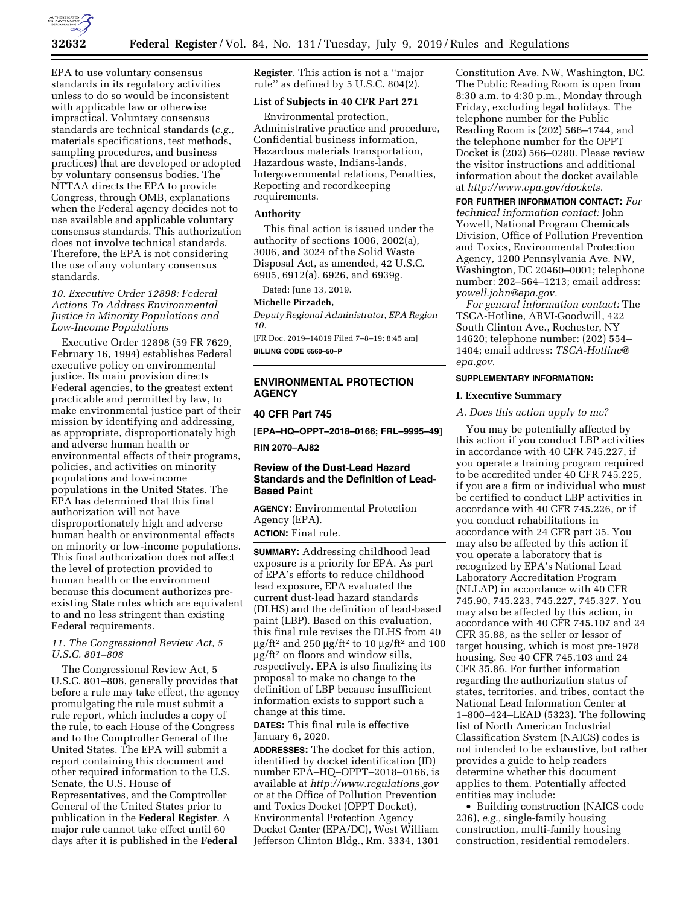

EPA to use voluntary consensus standards in its regulatory activities unless to do so would be inconsistent with applicable law or otherwise impractical. Voluntary consensus standards are technical standards (*e.g.,*  materials specifications, test methods, sampling procedures, and business practices) that are developed or adopted by voluntary consensus bodies. The NTTAA directs the EPA to provide Congress, through OMB, explanations when the Federal agency decides not to use available and applicable voluntary consensus standards. This authorization does not involve technical standards. Therefore, the EPA is not considering the use of any voluntary consensus standards.

*10. Executive Order 12898: Federal Actions To Address Environmental Justice in Minority Populations and Low-Income Populations* 

Executive Order 12898 (59 FR 7629, February 16, 1994) establishes Federal executive policy on environmental justice. Its main provision directs Federal agencies, to the greatest extent practicable and permitted by law, to make environmental justice part of their mission by identifying and addressing, as appropriate, disproportionately high and adverse human health or environmental effects of their programs, policies, and activities on minority populations and low-income populations in the United States. The EPA has determined that this final authorization will not have disproportionately high and adverse human health or environmental effects on minority or low-income populations. This final authorization does not affect the level of protection provided to human health or the environment because this document authorizes preexisting State rules which are equivalent to and no less stringent than existing Federal requirements.

*11. The Congressional Review Act, 5 U.S.C. 801–808* 

The Congressional Review Act, 5 U.S.C. 801–808, generally provides that before a rule may take effect, the agency promulgating the rule must submit a rule report, which includes a copy of the rule, to each House of the Congress and to the Comptroller General of the United States. The EPA will submit a report containing this document and other required information to the U.S. Senate, the U.S. House of Representatives, and the Comptroller General of the United States prior to publication in the **Federal Register**. A major rule cannot take effect until 60 days after it is published in the **Federal** 

**Register**. This action is not a ''major rule'' as defined by 5 U.S.C. 804(2).

## **List of Subjects in 40 CFR Part 271**

Environmental protection, Administrative practice and procedure, Confidential business information, Hazardous materials transportation, Hazardous waste, Indians-lands, Intergovernmental relations, Penalties, Reporting and recordkeeping requirements.

## **Authority**

This final action is issued under the authority of sections 1006, 2002(a), 3006, and 3024 of the Solid Waste Disposal Act, as amended, 42 U.S.C. 6905, 6912(a), 6926, and 6939g.

Dated: June 13, 2019.

#### **Michelle Pirzadeh,**

*Deputy Regional Administrator, EPA Region 10.* 

[FR Doc. 2019–14019 Filed 7–8–19; 8:45 am] **BILLING CODE 6560–50–P** 

# **ENVIRONMENTAL PROTECTION AGENCY**

## **40 CFR Part 745**

**[EPA–HQ–OPPT–2018–0166; FRL–9995–49]** 

**RIN 2070–AJ82** 

# **Review of the Dust-Lead Hazard Standards and the Definition of Lead-Based Paint**

**AGENCY:** Environmental Protection Agency (EPA).

**ACTION:** Final rule.

**SUMMARY:** Addressing childhood lead exposure is a priority for EPA. As part of EPA's efforts to reduce childhood lead exposure, EPA evaluated the current dust-lead hazard standards (DLHS) and the definition of lead-based paint (LBP). Based on this evaluation, this final rule revises the DLHS from 40  $\mu$ g/ft<sup>2</sup> and 250  $\mu$ g/ft<sup>2</sup> to 10  $\mu$ g/ft<sup>2</sup> and 100  $\mu$ g/ft<sup>2</sup> on floors and window sills, respectively. EPA is also finalizing its proposal to make no change to the definition of LBP because insufficient information exists to support such a change at this time.

**DATES:** This final rule is effective January 6, 2020.

**ADDRESSES:** The docket for this action, identified by docket identification (ID) number EPA–HQ–OPPT–2018–0166, is available at *<http://www.regulations.gov>* or at the Office of Pollution Prevention and Toxics Docket (OPPT Docket), Environmental Protection Agency Docket Center (EPA/DC), West William Jefferson Clinton Bldg., Rm. 3334, 1301

Constitution Ave. NW, Washington, DC. The Public Reading Room is open from 8:30 a.m. to 4:30 p.m., Monday through Friday, excluding legal holidays. The telephone number for the Public Reading Room is (202) 566–1744, and the telephone number for the OPPT Docket is (202) 566–0280. Please review the visitor instructions and additional information about the docket available at *[http://www.epa.gov/dockets.](http://www.epa.gov/dockets)* 

**FOR FURTHER INFORMATION CONTACT:** *For technical information contact:* John Yowell, National Program Chemicals Division, Office of Pollution Prevention and Toxics, Environmental Protection Agency, 1200 Pennsylvania Ave. NW, Washington, DC 20460–0001; telephone number: 202–564–1213; email address: *[yowell.john@epa.gov.](mailto:yowell.john@epa.gov)* 

*For general information contact:* The TSCA-Hotline, ABVI-Goodwill, 422 South Clinton Ave., Rochester, NY 14620; telephone number: (202) 554– 1404; email address: *[TSCA-Hotline@](mailto:TSCA-Hotline@epa.gov) [epa.gov.](mailto:TSCA-Hotline@epa.gov)* 

### **SUPPLEMENTARY INFORMATION:**

#### **I. Executive Summary**

#### *A. Does this action apply to me?*

You may be potentially affected by this action if you conduct LBP activities in accordance with 40 CFR 745.227, if you operate a training program required to be accredited under 40 CFR 745.225, if you are a firm or individual who must be certified to conduct LBP activities in accordance with 40 CFR 745.226, or if you conduct rehabilitations in accordance with 24 CFR part 35. You may also be affected by this action if you operate a laboratory that is recognized by EPA's National Lead Laboratory Accreditation Program (NLLAP) in accordance with 40 CFR 745.90, 745.223, 745.227, 745.327. You may also be affected by this action, in accordance with 40 CFR 745.107 and 24 CFR 35.88, as the seller or lessor of target housing, which is most pre-1978 housing. See 40 CFR 745.103 and 24 CFR 35.86. For further information regarding the authorization status of states, territories, and tribes, contact the National Lead Information Center at 1–800–424–LEAD (5323). The following list of North American Industrial Classification System (NAICS) codes is not intended to be exhaustive, but rather provides a guide to help readers determine whether this document applies to them. Potentially affected entities may include:

• Building construction (NAICS code 236), *e.g.,* single-family housing construction, multi-family housing construction, residential remodelers.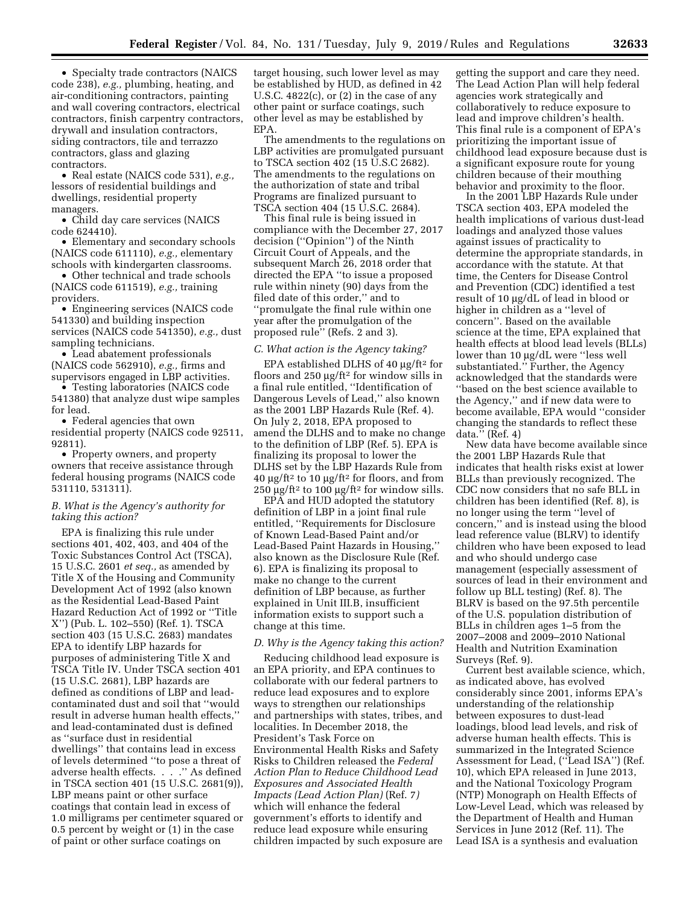• Specialty trade contractors (NAICS code 238), *e.g.,* plumbing, heating, and air-conditioning contractors, painting and wall covering contractors, electrical contractors, finish carpentry contractors, drywall and insulation contractors, siding contractors, tile and terrazzo contractors, glass and glazing contractors.

• Real estate (NAICS code 531), *e.g.,*  lessors of residential buildings and dwellings, residential property managers.

• Child day care services (NAICS code 624410).

• Elementary and secondary schools (NAICS code 611110), *e.g.,* elementary schools with kindergarten classrooms.

• Other technical and trade schools (NAICS code 611519), *e.g.,* training providers.

• Engineering services (NAICS code 541330) and building inspection services (NAICS code 541350), *e.g.,* dust sampling technicians.

• Lead abatement professionals (NAICS code 562910), *e.g.,* firms and supervisors engaged in LBP activities.

• Testing laboratories (NAICS code 541380) that analyze dust wipe samples for lead.

• Federal agencies that own residential property (NAICS code 92511, 92811).

• Property owners, and property owners that receive assistance through federal housing programs (NAICS code 531110, 531311).

#### *B. What is the Agency's authority for taking this action?*

EPA is finalizing this rule under sections 401, 402, 403, and 404 of the Toxic Substances Control Act (TSCA), 15 U.S.C. 2601 *et seq.,* as amended by Title X of the Housing and Community Development Act of 1992 (also known as the Residential Lead-Based Paint Hazard Reduction Act of 1992 or ''Title X'') (Pub. L. 102–550) (Ref. 1). TSCA section 403 (15 U.S.C. 2683) mandates EPA to identify LBP hazards for purposes of administering Title X and TSCA Title IV. Under TSCA section 401 (15 U.S.C. 2681), LBP hazards are defined as conditions of LBP and leadcontaminated dust and soil that ''would result in adverse human health effects,'' and lead-contaminated dust is defined as ''surface dust in residential dwellings'' that contains lead in excess of levels determined ''to pose a threat of adverse health effects. . . .'' As defined in TSCA section 401 (15 U.S.C. 2681(9)), LBP means paint or other surface coatings that contain lead in excess of 1.0 milligrams per centimeter squared or 0.5 percent by weight or (1) in the case of paint or other surface coatings on

target housing, such lower level as may be established by HUD, as defined in 42 U.S.C.  $4822(c)$ , or  $(2)$  in the case of any other paint or surface coatings, such other level as may be established by EPA.

The amendments to the regulations on LBP activities are promulgated pursuant to TSCA section 402 (15 U.S.C 2682). The amendments to the regulations on the authorization of state and tribal Programs are finalized pursuant to TSCA section 404 (15 U.S.C. 2684).

This final rule is being issued in compliance with the December 27, 2017 decision (''Opinion'') of the Ninth Circuit Court of Appeals, and the subsequent March 26, 2018 order that directed the EPA ''to issue a proposed rule within ninety (90) days from the filed date of this order,'' and to ''promulgate the final rule within one year after the promulgation of the proposed rule'' (Refs. 2 and 3).

#### *C. What action is the Agency taking?*

EPA established DLHS of 40  $\mu$ g/ft<sup>2</sup> for floors and  $250 \mu g$ /ft<sup>2</sup> for window sills in a final rule entitled, ''Identification of Dangerous Levels of Lead,'' also known as the 2001 LBP Hazards Rule (Ref. 4). On July 2, 2018, EPA proposed to amend the DLHS and to make no change to the definition of LBP (Ref. 5). EPA is finalizing its proposal to lower the DLHS set by the LBP Hazards Rule from 40  $\mu$ g/ft<sup>2</sup> to 10  $\mu$ g/ft<sup>2</sup> for floors, and from 250  $\mu$ g/ft<sup>2</sup> to 100  $\mu$ g/ft<sup>2</sup> for window sills.

EPA and HUD adopted the statutory definition of LBP in a joint final rule entitled, ''Requirements for Disclosure of Known Lead-Based Paint and/or Lead-Based Paint Hazards in Housing,'' also known as the Disclosure Rule (Ref. 6). EPA is finalizing its proposal to make no change to the current definition of LBP because, as further explained in Unit III.B, insufficient information exists to support such a change at this time.

#### *D. Why is the Agency taking this action?*

Reducing childhood lead exposure is an EPA priority, and EPA continues to collaborate with our federal partners to reduce lead exposures and to explore ways to strengthen our relationships and partnerships with states, tribes, and localities. In December 2018, the President's Task Force on Environmental Health Risks and Safety Risks to Children released the *Federal Action Plan to Reduce Childhood Lead Exposures and Associated Health Impacts (Lead Action Plan)* (Ref. 7*)*  which will enhance the federal government's efforts to identify and reduce lead exposure while ensuring children impacted by such exposure are

getting the support and care they need. The Lead Action Plan will help federal agencies work strategically and collaboratively to reduce exposure to lead and improve children's health. This final rule is a component of EPA's prioritizing the important issue of childhood lead exposure because dust is a significant exposure route for young children because of their mouthing behavior and proximity to the floor.

In the 2001 LBP Hazards Rule under TSCA section 403, EPA modeled the health implications of various dust-lead loadings and analyzed those values against issues of practicality to determine the appropriate standards, in accordance with the statute. At that time, the Centers for Disease Control and Prevention (CDC) identified a test result of 10 mg/dL of lead in blood or higher in children as a ''level of concern''. Based on the available science at the time, EPA explained that health effects at blood lead levels (BLLs) lower than 10 µg/dL were "less well substantiated.'' Further, the Agency acknowledged that the standards were ''based on the best science available to the Agency,'' and if new data were to become available, EPA would ''consider changing the standards to reflect these data.'' (Ref. 4)

New data have become available since the 2001 LBP Hazards Rule that indicates that health risks exist at lower BLLs than previously recognized. The CDC now considers that no safe BLL in children has been identified (Ref. 8), is no longer using the term ''level of concern,'' and is instead using the blood lead reference value (BLRV) to identify children who have been exposed to lead and who should undergo case management (especially assessment of sources of lead in their environment and follow up BLL testing) (Ref. 8). The BLRV is based on the 97.5th percentile of the U.S. population distribution of BLLs in children ages 1–5 from the 2007–2008 and 2009–2010 National Health and Nutrition Examination Surveys (Ref. 9).

Current best available science, which, as indicated above, has evolved considerably since 2001, informs EPA's understanding of the relationship between exposures to dust-lead loadings, blood lead levels, and risk of adverse human health effects. This is summarized in the Integrated Science Assessment for Lead, (''Lead ISA'') (Ref. 10), which EPA released in June 2013, and the National Toxicology Program (NTP) Monograph on Health Effects of Low-Level Lead, which was released by the Department of Health and Human Services in June 2012 (Ref. 11). The Lead ISA is a synthesis and evaluation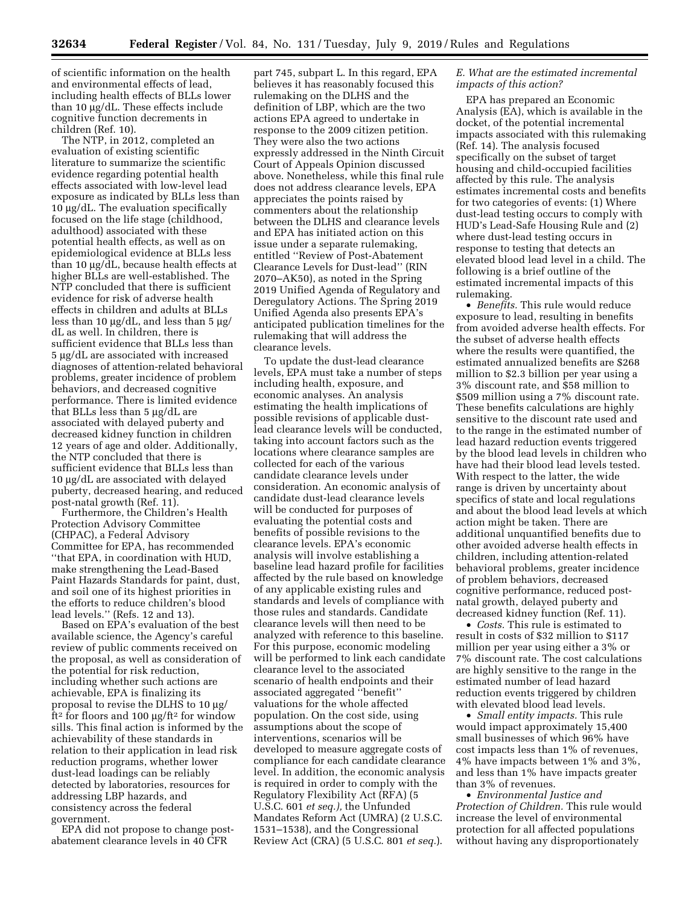of scientific information on the health and environmental effects of lead, including health effects of BLLs lower than 10 μg/dL. These effects include cognitive function decrements in children (Ref. 10).

The NTP, in 2012, completed an evaluation of existing scientific literature to summarize the scientific evidence regarding potential health effects associated with low-level lead exposure as indicated by BLLs less than  $10 \mu$ g/dL. The evaluation specifically focused on the life stage (childhood, adulthood) associated with these potential health effects, as well as on epidemiological evidence at BLLs less than 10  $\mu$ g/dL, because health effects at higher BLLs are well-established. The NTP concluded that there is sufficient evidence for risk of adverse health effects in children and adults at BLLs less than 10  $\mu$ g/dL, and less than 5  $\mu$ g/ dL as well. In children, there is sufficient evidence that BLLs less than 5 µg/dL are associated with increased diagnoses of attention-related behavioral problems, greater incidence of problem behaviors, and decreased cognitive performance. There is limited evidence that BLLs less than  $5 \mu g/dL$  are associated with delayed puberty and decreased kidney function in children 12 years of age and older. Additionally, the NTP concluded that there is sufficient evidence that BLLs less than 10 µg/dL are associated with delayed puberty, decreased hearing, and reduced post-natal growth (Ref. 11).

Furthermore, the Children's Health Protection Advisory Committee (CHPAC), a Federal Advisory Committee for EPA, has recommended ''that EPA, in coordination with HUD, make strengthening the Lead-Based Paint Hazards Standards for paint, dust, and soil one of its highest priorities in the efforts to reduce children's blood lead levels.'' (Refs. 12 and 13).

Based on EPA's evaluation of the best available science, the Agency's careful review of public comments received on the proposal, as well as consideration of the potential for risk reduction, including whether such actions are achievable, EPA is finalizing its proposal to revise the DLHS to  $10 \mu g$ / ft<sup>2</sup> for floors and 100  $\mu$ g/ft<sup>2</sup> for window sills. This final action is informed by the achievability of these standards in relation to their application in lead risk reduction programs, whether lower dust-lead loadings can be reliably detected by laboratories, resources for addressing LBP hazards, and consistency across the federal government.

EPA did not propose to change postabatement clearance levels in 40 CFR

part 745, subpart L. In this regard, EPA believes it has reasonably focused this rulemaking on the DLHS and the definition of LBP, which are the two actions EPA agreed to undertake in response to the 2009 citizen petition. They were also the two actions expressly addressed in the Ninth Circuit Court of Appeals Opinion discussed above. Nonetheless, while this final rule does not address clearance levels, EPA appreciates the points raised by commenters about the relationship between the DLHS and clearance levels and EPA has initiated action on this issue under a separate rulemaking, entitled ''Review of Post-Abatement Clearance Levels for Dust-lead'' (RIN 2070–AK50), as noted in the Spring 2019 Unified Agenda of Regulatory and Deregulatory Actions. The Spring 2019 Unified Agenda also presents EPA's anticipated publication timelines for the rulemaking that will address the clearance levels.

To update the dust-lead clearance levels, EPA must take a number of steps including health, exposure, and economic analyses. An analysis estimating the health implications of possible revisions of applicable dustlead clearance levels will be conducted, taking into account factors such as the locations where clearance samples are collected for each of the various candidate clearance levels under consideration. An economic analysis of candidate dust-lead clearance levels will be conducted for purposes of evaluating the potential costs and benefits of possible revisions to the clearance levels. EPA's economic analysis will involve establishing a baseline lead hazard profile for facilities affected by the rule based on knowledge of any applicable existing rules and standards and levels of compliance with those rules and standards. Candidate clearance levels will then need to be analyzed with reference to this baseline. For this purpose, economic modeling will be performed to link each candidate clearance level to the associated scenario of health endpoints and their associated aggregated ''benefit'' valuations for the whole affected population. On the cost side, using assumptions about the scope of interventions, scenarios will be developed to measure aggregate costs of compliance for each candidate clearance level. In addition, the economic analysis is required in order to comply with the Regulatory Flexibility Act (RFA) (5 U.S.C. 601 *et seq.),* the Unfunded Mandates Reform Act (UMRA) (2 U.S.C. 1531–1538), and the Congressional Review Act (CRA) (5 U.S.C. 801 *et seq.*).

# *E. What are the estimated incremental impacts of this action?*

EPA has prepared an Economic Analysis (EA), which is available in the docket, of the potential incremental impacts associated with this rulemaking (Ref. 14). The analysis focused specifically on the subset of target housing and child-occupied facilities affected by this rule. The analysis estimates incremental costs and benefits for two categories of events: (1) Where dust-lead testing occurs to comply with HUD's Lead-Safe Housing Rule and (2) where dust-lead testing occurs in response to testing that detects an elevated blood lead level in a child. The following is a brief outline of the estimated incremental impacts of this rulemaking.

• *Benefits.* This rule would reduce exposure to lead, resulting in benefits from avoided adverse health effects. For the subset of adverse health effects where the results were quantified, the estimated annualized benefits are \$268 million to \$2.3 billion per year using a 3% discount rate, and \$58 million to \$509 million using a 7% discount rate. These benefits calculations are highly sensitive to the discount rate used and to the range in the estimated number of lead hazard reduction events triggered by the blood lead levels in children who have had their blood lead levels tested. With respect to the latter, the wide range is driven by uncertainty about specifics of state and local regulations and about the blood lead levels at which action might be taken. There are additional unquantified benefits due to other avoided adverse health effects in children, including attention-related behavioral problems, greater incidence of problem behaviors, decreased cognitive performance, reduced postnatal growth, delayed puberty and decreased kidney function (Ref. 11).

• *Costs.* This rule is estimated to result in costs of \$32 million to \$117 million per year using either a 3% or 7% discount rate. The cost calculations are highly sensitive to the range in the estimated number of lead hazard reduction events triggered by children with elevated blood lead levels.

• *Small entity impacts.* This rule would impact approximately 15,400 small businesses of which 96% have cost impacts less than 1% of revenues, 4% have impacts between 1% and 3%, and less than 1% have impacts greater than 3% of revenues.

• *Environmental Justice and Protection of Children.* This rule would increase the level of environmental protection for all affected populations without having any disproportionately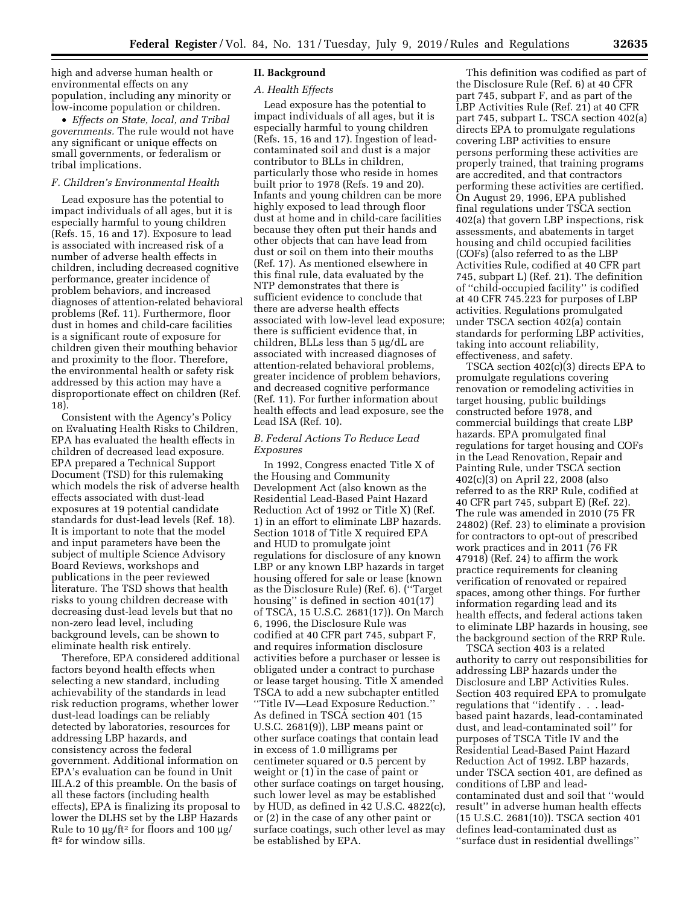high and adverse human health or environmental effects on any population, including any minority or low-income population or children.

• *Effects on State, local, and Tribal governments.* The rule would not have any significant or unique effects on small governments, or federalism or tribal implications.

# *F. Children's Environmental Health*

Lead exposure has the potential to impact individuals of all ages, but it is especially harmful to young children (Refs. 15, 16 and 17). Exposure to lead is associated with increased risk of a number of adverse health effects in children, including decreased cognitive performance, greater incidence of problem behaviors, and increased diagnoses of attention-related behavioral problems (Ref. 11). Furthermore, floor dust in homes and child-care facilities is a significant route of exposure for children given their mouthing behavior and proximity to the floor. Therefore, the environmental health or safety risk addressed by this action may have a disproportionate effect on children (Ref. 18).

Consistent with the Agency's Policy on Evaluating Health Risks to Children, EPA has evaluated the health effects in children of decreased lead exposure. EPA prepared a Technical Support Document (TSD) for this rulemaking which models the risk of adverse health effects associated with dust-lead exposures at 19 potential candidate standards for dust-lead levels (Ref. 18). It is important to note that the model and input parameters have been the subject of multiple Science Advisory Board Reviews, workshops and publications in the peer reviewed literature. The TSD shows that health risks to young children decrease with decreasing dust-lead levels but that no non-zero lead level, including background levels, can be shown to eliminate health risk entirely.

Therefore, EPA considered additional factors beyond health effects when selecting a new standard, including achievability of the standards in lead risk reduction programs, whether lower dust-lead loadings can be reliably detected by laboratories, resources for addressing LBP hazards, and consistency across the federal government. Additional information on EPA's evaluation can be found in Unit III.A.2 of this preamble. On the basis of all these factors (including health effects), EPA is finalizing its proposal to lower the DLHS set by the LBP Hazards Rule to 10  $\mu$ g/ft<sup>2</sup> for floors and 100  $\mu$ g/ ft2 for window sills.

# **II. Background**

#### *A. Health Effects*

Lead exposure has the potential to impact individuals of all ages, but it is especially harmful to young children (Refs. 15, 16 and 17). Ingestion of leadcontaminated soil and dust is a major contributor to BLLs in children, particularly those who reside in homes built prior to 1978 (Refs. 19 and 20). Infants and young children can be more highly exposed to lead through floor dust at home and in child-care facilities because they often put their hands and other objects that can have lead from dust or soil on them into their mouths (Ref. 17). As mentioned elsewhere in this final rule, data evaluated by the NTP demonstrates that there is sufficient evidence to conclude that there are adverse health effects associated with low-level lead exposure; there is sufficient evidence that, in children, BLLs less than  $5 \mu g/dL$  are associated with increased diagnoses of attention-related behavioral problems, greater incidence of problem behaviors, and decreased cognitive performance (Ref. 11). For further information about health effects and lead exposure, see the Lead ISA (Ref. 10).

# *B. Federal Actions To Reduce Lead Exposures*

In 1992, Congress enacted Title X of the Housing and Community Development Act (also known as the Residential Lead-Based Paint Hazard Reduction Act of 1992 or Title X) (Ref. 1) in an effort to eliminate LBP hazards. Section 1018 of Title X required EPA and HUD to promulgate joint regulations for disclosure of any known LBP or any known LBP hazards in target housing offered for sale or lease (known as the Disclosure Rule) (Ref. 6). (''Target housing'' is defined in section 401(17) of TSCA, 15 U.S.C. 2681(17)). On March 6, 1996, the Disclosure Rule was codified at 40 CFR part 745, subpart F, and requires information disclosure activities before a purchaser or lessee is obligated under a contract to purchase or lease target housing. Title X amended TSCA to add a new subchapter entitled ''Title IV—Lead Exposure Reduction.'' As defined in TSCA section 401 (15 U.S.C. 2681(9)), LBP means paint or other surface coatings that contain lead in excess of 1.0 milligrams per centimeter squared or 0.5 percent by weight or (1) in the case of paint or other surface coatings on target housing, such lower level as may be established by HUD, as defined in 42 U.S.C. 4822(c), or (2) in the case of any other paint or surface coatings, such other level as may be established by EPA.

This definition was codified as part of the Disclosure Rule (Ref. 6) at 40 CFR part 745, subpart F, and as part of the LBP Activities Rule (Ref. 21) at 40 CFR part 745, subpart L. TSCA section 402(a) directs EPA to promulgate regulations covering LBP activities to ensure persons performing these activities are properly trained, that training programs are accredited, and that contractors performing these activities are certified. On August 29, 1996, EPA published final regulations under TSCA section 402(a) that govern LBP inspections, risk assessments, and abatements in target housing and child occupied facilities (COFs) (also referred to as the LBP Activities Rule, codified at 40 CFR part 745, subpart L) (Ref. 21). The definition of ''child-occupied facility'' is codified at 40 CFR 745.223 for purposes of LBP activities. Regulations promulgated under TSCA section 402(a) contain standards for performing LBP activities, taking into account reliability, effectiveness, and safety.

TSCA section 402(c)(3) directs EPA to promulgate regulations covering renovation or remodeling activities in target housing, public buildings constructed before 1978, and commercial buildings that create LBP hazards. EPA promulgated final regulations for target housing and COFs in the Lead Renovation, Repair and Painting Rule, under TSCA section 402(c)(3) on April 22, 2008 (also referred to as the RRP Rule, codified at 40 CFR part 745, subpart E) (Ref. 22). The rule was amended in 2010 (75 FR 24802) (Ref. 23) to eliminate a provision for contractors to opt-out of prescribed work practices and in 2011 (76 FR 47918) (Ref. 24) to affirm the work practice requirements for cleaning verification of renovated or repaired spaces, among other things. For further information regarding lead and its health effects, and federal actions taken to eliminate LBP hazards in housing, see the background section of the RRP Rule.

TSCA section 403 is a related authority to carry out responsibilities for addressing LBP hazards under the Disclosure and LBP Activities Rules. Section 403 required EPA to promulgate regulations that ''identify . . . leadbased paint hazards, lead-contaminated dust, and lead-contaminated soil'' for purposes of TSCA Title IV and the Residential Lead-Based Paint Hazard Reduction Act of 1992. LBP hazards, under TSCA section 401, are defined as conditions of LBP and leadcontaminated dust and soil that ''would result'' in adverse human health effects (15 U.S.C. 2681(10)). TSCA section 401 defines lead-contaminated dust as ''surface dust in residential dwellings''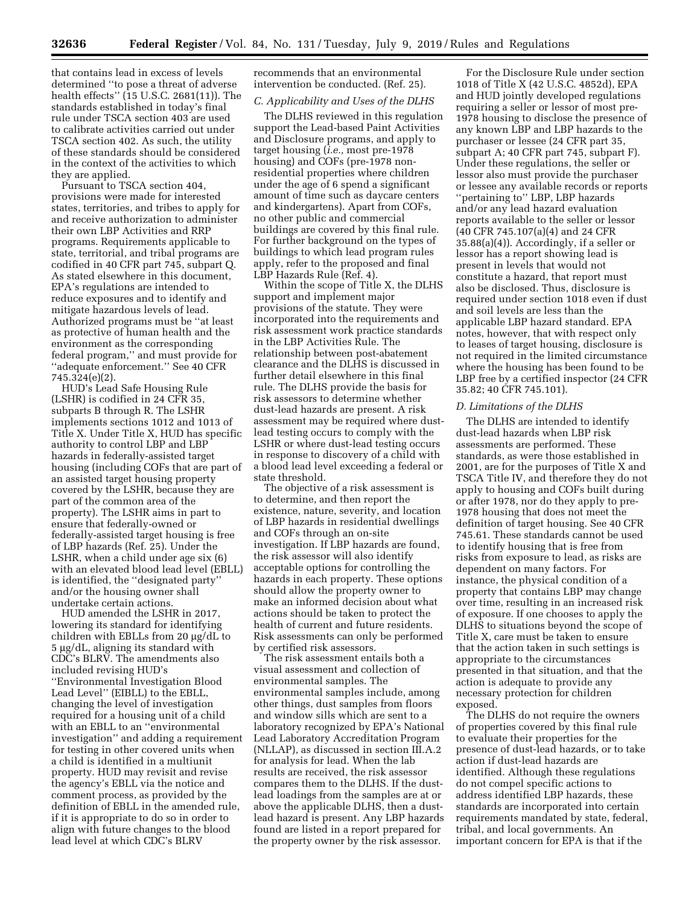that contains lead in excess of levels determined ''to pose a threat of adverse health effects'' (15 U.S.C. 2681(11)). The standards established in today's final rule under TSCA section 403 are used to calibrate activities carried out under TSCA section 402. As such, the utility of these standards should be considered in the context of the activities to which they are applied.

Pursuant to TSCA section 404, provisions were made for interested states, territories, and tribes to apply for and receive authorization to administer their own LBP Activities and RRP programs. Requirements applicable to state, territorial, and tribal programs are codified in 40 CFR part 745, subpart Q. As stated elsewhere in this document, EPA's regulations are intended to reduce exposures and to identify and mitigate hazardous levels of lead. Authorized programs must be ''at least as protective of human health and the environment as the corresponding federal program,'' and must provide for ''adequate enforcement.'' See 40 CFR 745.324(e)(2).

HUD's Lead Safe Housing Rule (LSHR) is codified in 24 CFR 35, subparts B through R. The LSHR implements sections 1012 and 1013 of Title X. Under Title X, HUD has specific authority to control LBP and LBP hazards in federally-assisted target housing (including COFs that are part of an assisted target housing property covered by the LSHR, because they are part of the common area of the property). The LSHR aims in part to ensure that federally-owned or federally-assisted target housing is free of LBP hazards (Ref. 25). Under the LSHR, when a child under age six (6) with an elevated blood lead level (EBLL) is identified, the ''designated party'' and/or the housing owner shall undertake certain actions.

HUD amended the LSHR in 2017, lowering its standard for identifying children with EBLLs from 20 µg/dL to  $5 \mu g/dL$ , aligning its standard with CDC's BLRV. The amendments also included revising HUD's ''Environmental Investigation Blood Lead Level'' (EIBLL) to the EBLL, changing the level of investigation required for a housing unit of a child with an EBLL to an ''environmental investigation'' and adding a requirement for testing in other covered units when a child is identified in a multiunit property. HUD may revisit and revise the agency's EBLL via the notice and comment process, as provided by the definition of EBLL in the amended rule, if it is appropriate to do so in order to align with future changes to the blood lead level at which CDC's BLRV

recommends that an environmental intervention be conducted. (Ref. 25).

# *C. Applicability and Uses of the DLHS*

The DLHS reviewed in this regulation support the Lead-based Paint Activities and Disclosure programs, and apply to target housing (*i.e.,* most pre-1978 housing) and COFs (pre-1978 nonresidential properties where children under the age of 6 spend a significant amount of time such as daycare centers and kindergartens). Apart from COFs, no other public and commercial buildings are covered by this final rule. For further background on the types of buildings to which lead program rules apply, refer to the proposed and final LBP Hazards Rule (Ref. 4).

Within the scope of Title X, the DLHS support and implement major provisions of the statute. They were incorporated into the requirements and risk assessment work practice standards in the LBP Activities Rule. The relationship between post-abatement clearance and the DLHS is discussed in further detail elsewhere in this final rule. The DLHS provide the basis for risk assessors to determine whether dust-lead hazards are present. A risk assessment may be required where dustlead testing occurs to comply with the LSHR or where dust-lead testing occurs in response to discovery of a child with a blood lead level exceeding a federal or state threshold.

The objective of a risk assessment is to determine, and then report the existence, nature, severity, and location of LBP hazards in residential dwellings and COFs through an on-site investigation. If LBP hazards are found, the risk assessor will also identify acceptable options for controlling the hazards in each property. These options should allow the property owner to make an informed decision about what actions should be taken to protect the health of current and future residents. Risk assessments can only be performed by certified risk assessors.

The risk assessment entails both a visual assessment and collection of environmental samples. The environmental samples include, among other things, dust samples from floors and window sills which are sent to a laboratory recognized by EPA's National Lead Laboratory Accreditation Program (NLLAP), as discussed in section III.A.2 for analysis for lead. When the lab results are received, the risk assessor compares them to the DLHS. If the dustlead loadings from the samples are at or above the applicable DLHS, then a dustlead hazard is present. Any LBP hazards found are listed in a report prepared for the property owner by the risk assessor.

For the Disclosure Rule under section 1018 of Title X (42 U.S.C. 4852d), EPA and HUD jointly developed regulations requiring a seller or lessor of most pre-1978 housing to disclose the presence of any known LBP and LBP hazards to the purchaser or lessee (24 CFR part 35, subpart A; 40 CFR part 745, subpart F). Under these regulations, the seller or lessor also must provide the purchaser or lessee any available records or reports ''pertaining to'' LBP, LBP hazards and/or any lead hazard evaluation reports available to the seller or lessor (40 CFR 745.107(a)(4) and 24 CFR 35.88(a)(4)). Accordingly, if a seller or lessor has a report showing lead is present in levels that would not constitute a hazard, that report must also be disclosed. Thus, disclosure is required under section 1018 even if dust and soil levels are less than the applicable LBP hazard standard. EPA notes, however, that with respect only to leases of target housing, disclosure is not required in the limited circumstance where the housing has been found to be LBP free by a certified inspector (24 CFR 35.82; 40 CFR 745.101).

#### *D. Limitations of the DLHS*

The DLHS are intended to identify dust-lead hazards when LBP risk assessments are performed. These standards, as were those established in 2001, are for the purposes of Title X and TSCA Title IV, and therefore they do not apply to housing and COFs built during or after 1978, nor do they apply to pre-1978 housing that does not meet the definition of target housing. See 40 CFR 745.61. These standards cannot be used to identify housing that is free from risks from exposure to lead, as risks are dependent on many factors. For instance, the physical condition of a property that contains LBP may change over time, resulting in an increased risk of exposure. If one chooses to apply the DLHS to situations beyond the scope of Title X, care must be taken to ensure that the action taken in such settings is appropriate to the circumstances presented in that situation, and that the action is adequate to provide any necessary protection for children exposed.

The DLHS do not require the owners of properties covered by this final rule to evaluate their properties for the presence of dust-lead hazards, or to take action if dust-lead hazards are identified. Although these regulations do not compel specific actions to address identified LBP hazards, these standards are incorporated into certain requirements mandated by state, federal, tribal, and local governments. An important concern for EPA is that if the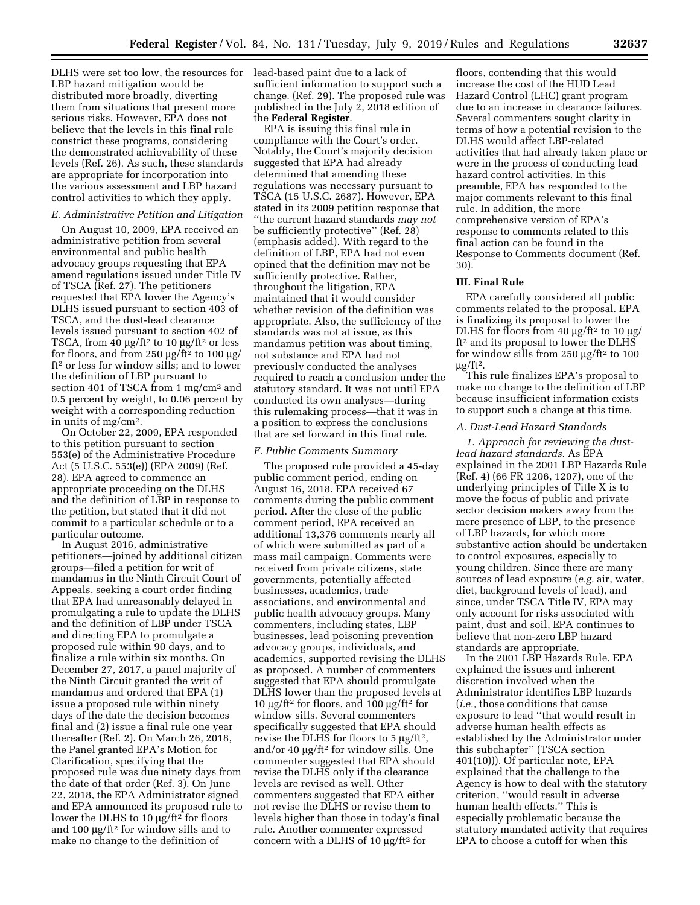DLHS were set too low, the resources for lead-based paint due to a lack of LBP hazard mitigation would be distributed more broadly, diverting them from situations that present more serious risks. However, EPA does not believe that the levels in this final rule constrict these programs, considering the demonstrated achievability of these levels (Ref. 26). As such, these standards are appropriate for incorporation into the various assessment and LBP hazard control activities to which they apply.

## *E. Administrative Petition and Litigation*

On August 10, 2009, EPA received an administrative petition from several environmental and public health advocacy groups requesting that EPA amend regulations issued under Title IV of TSCA (Ref. 27). The petitioners requested that EPA lower the Agency's DLHS issued pursuant to section 403 of TSCA, and the dust-lead clearance levels issued pursuant to section 402 of TSCA, from 40  $\mu$ g/ft<sup>2</sup> to 10  $\mu$ g/ft<sup>2</sup> or less for floors, and from 250  $\mu$ g/ft<sup>2</sup> to 100  $\mu$ g/ ft<sup>2</sup> or less for window sills; and to lower the definition of LBP pursuant to section 401 of TSCA from 1 mg/cm2 and 0.5 percent by weight, to 0.06 percent by weight with a corresponding reduction in units of mg/cm2.

On October 22, 2009, EPA responded to this petition pursuant to section 553(e) of the Administrative Procedure Act (5 U.S.C. 553(e)) (EPA 2009) (Ref. 28). EPA agreed to commence an appropriate proceeding on the DLHS and the definition of LBP in response to the petition, but stated that it did not commit to a particular schedule or to a particular outcome.

In August 2016, administrative petitioners—joined by additional citizen groups—filed a petition for writ of mandamus in the Ninth Circuit Court of Appeals, seeking a court order finding that EPA had unreasonably delayed in promulgating a rule to update the DLHS and the definition of LBP under TSCA and directing EPA to promulgate a proposed rule within 90 days, and to finalize a rule within six months. On December 27, 2017, a panel majority of the Ninth Circuit granted the writ of mandamus and ordered that EPA (1) issue a proposed rule within ninety days of the date the decision becomes final and (2) issue a final rule one year thereafter (Ref. 2). On March 26, 2018, the Panel granted EPA's Motion for Clarification, specifying that the proposed rule was due ninety days from the date of that order (Ref. 3). On June 22, 2018, the EPA Administrator signed and EPA announced its proposed rule to lower the DLHS to 10  $\mu$ g/ft<sup>2</sup> for floors and 100  $\mu$ g/ft<sup>2</sup> for window sills and to make no change to the definition of

sufficient information to support such a change. (Ref. 29). The proposed rule was published in the July 2, 2018 edition of the **Federal Register**.

EPA is issuing this final rule in compliance with the Court's order. Notably, the Court's majority decision suggested that EPA had already determined that amending these regulations was necessary pursuant to TSCA (15 U.S.C. 2687). However, EPA stated in its 2009 petition response that ''the current hazard standards *may not*  be sufficiently protective'' (Ref. 28) (emphasis added). With regard to the definition of LBP, EPA had not even opined that the definition may not be sufficiently protective. Rather, throughout the litigation, EPA maintained that it would consider whether revision of the definition was appropriate. Also, the sufficiency of the standards was not at issue, as this mandamus petition was about timing, not substance and EPA had not previously conducted the analyses required to reach a conclusion under the statutory standard. It was not until EPA conducted its own analyses—during this rulemaking process—that it was in a position to express the conclusions that are set forward in this final rule.

#### *F. Public Comments Summary*

The proposed rule provided a 45-day public comment period, ending on August 16, 2018. EPA received 67 comments during the public comment period. After the close of the public comment period, EPA received an additional 13,376 comments nearly all of which were submitted as part of a mass mail campaign. Comments were received from private citizens, state governments, potentially affected businesses, academics, trade associations, and environmental and public health advocacy groups. Many commenters, including states, LBP businesses, lead poisoning prevention advocacy groups, individuals, and academics, supported revising the DLHS as proposed. A number of commenters suggested that EPA should promulgate DLHS lower than the proposed levels at 10  $\mu$ g/ft<sup>2</sup> for floors, and 100  $\mu$ g/ft<sup>2</sup> for window sills. Several commenters specifically suggested that EPA should revise the DLHS for floors to  $5 \mu g / \text{ft}^2$ , and/or 40  $\mu$ g/ft<sup>2</sup> for window sills. One commenter suggested that EPA should revise the DLHS only if the clearance levels are revised as well. Other commenters suggested that EPA either not revise the DLHS or revise them to levels higher than those in today's final rule. Another commenter expressed concern with a DLHS of  $10 \mu g / ft^2$  for

floors, contending that this would increase the cost of the HUD Lead Hazard Control (LHC) grant program due to an increase in clearance failures. Several commenters sought clarity in terms of how a potential revision to the DLHS would affect LBP-related activities that had already taken place or were in the process of conducting lead hazard control activities. In this preamble, EPA has responded to the major comments relevant to this final rule. In addition, the more comprehensive version of EPA's response to comments related to this final action can be found in the Response to Comments document (Ref. 30).

### **III. Final Rule**

EPA carefully considered all public comments related to the proposal. EPA is finalizing its proposal to lower the DLHS for floors from 40  $\mu$ g/ft<sup>2</sup> to 10  $\mu$ g/ ft2 and its proposal to lower the DLHS for window sills from  $250 \mu g / \text{ft}^2$  to  $100$  $\mu$ g/ft<sup>2</sup>.

This rule finalizes EPA's proposal to make no change to the definition of LBP because insufficient information exists to support such a change at this time.

#### *A. Dust-Lead Hazard Standards*

*1. Approach for reviewing the dustlead hazard standards.* As EPA explained in the 2001 LBP Hazards Rule (Ref. 4) (66 FR 1206, 1207), one of the underlying principles of Title X is to move the focus of public and private sector decision makers away from the mere presence of LBP, to the presence of LBP hazards, for which more substantive action should be undertaken to control exposures, especially to young children. Since there are many sources of lead exposure (*e.g.* air, water, diet, background levels of lead), and since, under TSCA Title IV, EPA may only account for risks associated with paint, dust and soil, EPA continues to believe that non-zero LBP hazard standards are appropriate.

In the 2001 LBP Hazards Rule, EPA explained the issues and inherent discretion involved when the Administrator identifies LBP hazards (*i.e.,* those conditions that cause exposure to lead ''that would result in adverse human health effects as established by the Administrator under this subchapter'' (TSCA section 401(10))). Of particular note, EPA explained that the challenge to the Agency is how to deal with the statutory criterion, ''would result in adverse human health effects.'' This is especially problematic because the statutory mandated activity that requires EPA to choose a cutoff for when this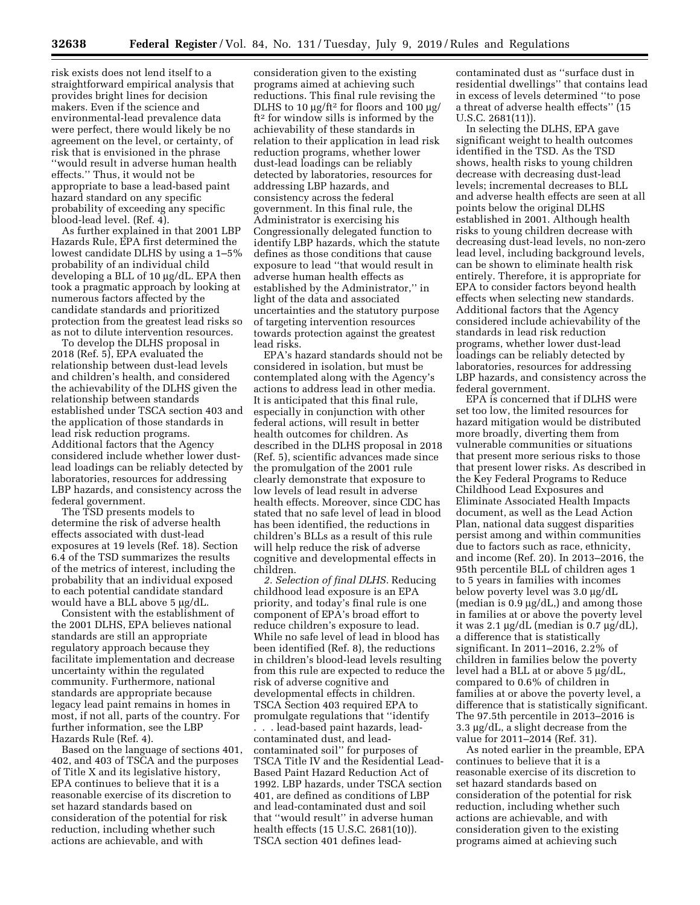risk exists does not lend itself to a straightforward empirical analysis that provides bright lines for decision makers. Even if the science and environmental-lead prevalence data were perfect, there would likely be no agreement on the level, or certainty, of risk that is envisioned in the phrase ''would result in adverse human health effects.'' Thus, it would not be appropriate to base a lead-based paint hazard standard on any specific probability of exceeding any specific blood-lead level. (Ref. 4).

As further explained in that 2001 LBP Hazards Rule, EPA first determined the lowest candidate DLHS by using a 1–5% probability of an individual child developing a BLL of 10 µg/dL. EPA then took a pragmatic approach by looking at numerous factors affected by the candidate standards and prioritized protection from the greatest lead risks so as not to dilute intervention resources.

To develop the DLHS proposal in 2018 (Ref. 5), EPA evaluated the relationship between dust-lead levels and children's health, and considered the achievability of the DLHS given the relationship between standards established under TSCA section 403 and the application of those standards in lead risk reduction programs. Additional factors that the Agency considered include whether lower dustlead loadings can be reliably detected by laboratories, resources for addressing LBP hazards, and consistency across the federal government.

The TSD presents models to determine the risk of adverse health effects associated with dust-lead exposures at 19 levels (Ref. 18). Section 6.4 of the TSD summarizes the results of the metrics of interest, including the probability that an individual exposed to each potential candidate standard would have a BLL above 5 µg/dL.

Consistent with the establishment of the 2001 DLHS, EPA believes national standards are still an appropriate regulatory approach because they facilitate implementation and decrease uncertainty within the regulated community. Furthermore, national standards are appropriate because legacy lead paint remains in homes in most, if not all, parts of the country. For further information, see the LBP Hazards Rule (Ref. 4).

Based on the language of sections 401, 402, and 403 of TSCA and the purposes of Title X and its legislative history, EPA continues to believe that it is a reasonable exercise of its discretion to set hazard standards based on consideration of the potential for risk reduction, including whether such actions are achievable, and with

consideration given to the existing programs aimed at achieving such reductions. This final rule revising the DLHS to 10  $\mu$ g/ft<sup>2</sup> for floors and 100  $\mu$ g/ ft2 for window sills is informed by the achievability of these standards in relation to their application in lead risk reduction programs, whether lower dust-lead loadings can be reliably detected by laboratories, resources for addressing LBP hazards, and consistency across the federal government. In this final rule, the Administrator is exercising his Congressionally delegated function to identify LBP hazards, which the statute defines as those conditions that cause exposure to lead ''that would result in adverse human health effects as established by the Administrator,'' in light of the data and associated uncertainties and the statutory purpose of targeting intervention resources towards protection against the greatest lead risks.

EPA's hazard standards should not be considered in isolation, but must be contemplated along with the Agency's actions to address lead in other media. It is anticipated that this final rule, especially in conjunction with other federal actions, will result in better health outcomes for children. As described in the DLHS proposal in 2018 (Ref. 5), scientific advances made since the promulgation of the 2001 rule clearly demonstrate that exposure to low levels of lead result in adverse health effects. Moreover, since CDC has stated that no safe level of lead in blood has been identified, the reductions in children's BLLs as a result of this rule will help reduce the risk of adverse cognitive and developmental effects in children.

*2. Selection of final DLHS.* Reducing childhood lead exposure is an EPA priority, and today's final rule is one component of EPA's broad effort to reduce children's exposure to lead. While no safe level of lead in blood has been identified (Ref. 8), the reductions in children's blood-lead levels resulting from this rule are expected to reduce the risk of adverse cognitive and developmental effects in children. TSCA Section 403 required EPA to promulgate regulations that ''identify . . . lead-based paint hazards, leadcontaminated dust, and leadcontaminated soil'' for purposes of TSCA Title IV and the Residential Lead-Based Paint Hazard Reduction Act of 1992. LBP hazards, under TSCA section 401, are defined as conditions of LBP and lead-contaminated dust and soil that ''would result'' in adverse human health effects (15 U.S.C. 2681(10)). TSCA section 401 defines lead-

contaminated dust as ''surface dust in residential dwellings'' that contains lead in excess of levels determined ''to pose a threat of adverse health effects'' (15 U.S.C. 2681(11)).

In selecting the DLHS, EPA gave significant weight to health outcomes identified in the TSD. As the TSD shows, health risks to young children decrease with decreasing dust-lead levels; incremental decreases to BLL and adverse health effects are seen at all points below the original DLHS established in 2001. Although health risks to young children decrease with decreasing dust-lead levels, no non-zero lead level, including background levels, can be shown to eliminate health risk entirely. Therefore, it is appropriate for EPA to consider factors beyond health effects when selecting new standards. Additional factors that the Agency considered include achievability of the standards in lead risk reduction programs, whether lower dust-lead loadings can be reliably detected by laboratories, resources for addressing LBP hazards, and consistency across the federal government.

EPA is concerned that if DLHS were set too low, the limited resources for hazard mitigation would be distributed more broadly, diverting them from vulnerable communities or situations that present more serious risks to those that present lower risks. As described in the Key Federal Programs to Reduce Childhood Lead Exposures and Eliminate Associated Health Impacts document, as well as the Lead Action Plan, national data suggest disparities persist among and within communities due to factors such as race, ethnicity, and income (Ref. 20). In 2013–2016, the 95th percentile BLL of children ages 1 to 5 years in families with incomes below poverty level was 3.0 μg/dL (median is  $0.9 \mu g/dL$ ,) and among those in families at or above the poverty level it was 2.1  $\mu$ g/dL (median is 0.7  $\mu$ g/dL), a difference that is statistically significant. In 2011–2016, 2.2% of children in families below the poverty level had a BLL at or above  $5 \mu g/dL$ , compared to 0.6% of children in families at or above the poverty level, a difference that is statistically significant. The 97.5th percentile in 2013–2016 is  $3.3 \mu$ g/dL, a slight decrease from the value for 2011–2014 (Ref. 31).

As noted earlier in the preamble, EPA continues to believe that it is a reasonable exercise of its discretion to set hazard standards based on consideration of the potential for risk reduction, including whether such actions are achievable, and with consideration given to the existing programs aimed at achieving such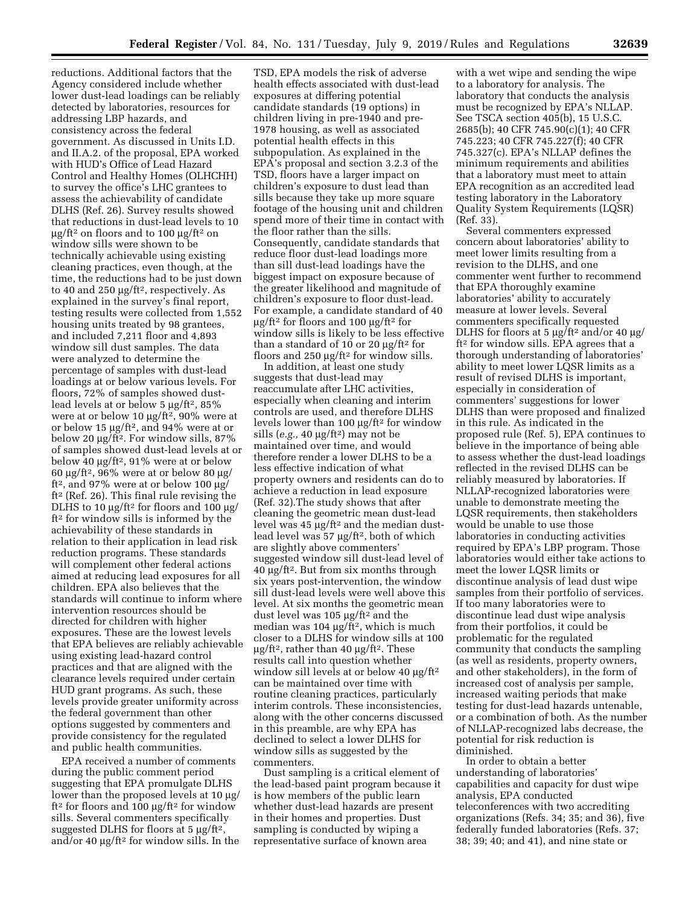reductions. Additional factors that the Agency considered include whether lower dust-lead loadings can be reliably detected by laboratories, resources for addressing LBP hazards, and consistency across the federal government. As discussed in Units I.D. and II.A.2. of the proposal, EPA worked with HUD's Office of Lead Hazard Control and Healthy Homes (OLHCHH) to survey the office's LHC grantees to assess the achievability of candidate DLHS (Ref. 26). Survey results showed that reductions in dust-lead levels to 10  $\mu$ g/ft<sup>2</sup> on floors and to 100  $\mu$ g/ft<sup>2</sup> on window sills were shown to be technically achievable using existing cleaning practices, even though, at the time, the reductions had to be just down to 40 and 250  $\mu$ g/ft<sup>2</sup>, respectively. As explained in the survey's final report, testing results were collected from 1,552 housing units treated by 98 grantees, and included 7,211 floor and 4,893 window sill dust samples. The data were analyzed to determine the percentage of samples with dust-lead loadings at or below various levels. For floors, 72% of samples showed dustlead levels at or below  $5 \mu g / \text{ft}^2$ ,  $85\%$ were at or below 10  $\mu$ g/ft<sup>2</sup>, 90% were at or below 15  $\mu$ g/ft<sup>2</sup>, and 94% were at or below 20 μg/ft<sup>2</sup>. For window sills, 87% of samples showed dust-lead levels at or below 40  $\mu$ g/ft<sup>2</sup>, 91% were at or below 60  $\mu$ g/ft<sup>2</sup>, 96% were at or below 80  $\mu$ g/ ft<sup>2</sup>, and 97% were at or below 100  $\mu$ g/ ft2 (Ref. 26). This final rule revising the DLHS to 10  $\mu\text{g}/\text{ft}^2$  for floors and 100  $\mu\text{g}/$ ft2 for window sills is informed by the achievability of these standards in relation to their application in lead risk reduction programs. These standards will complement other federal actions aimed at reducing lead exposures for all children. EPA also believes that the standards will continue to inform where intervention resources should be directed for children with higher exposures. These are the lowest levels that EPA believes are reliably achievable using existing lead-hazard control practices and that are aligned with the clearance levels required under certain HUD grant programs. As such, these levels provide greater uniformity across the federal government than other options suggested by commenters and provide consistency for the regulated and public health communities.

EPA received a number of comments during the public comment period suggesting that EPA promulgate DLHS lower than the proposed levels at 10  $\mu$ g/ ft<sup>2</sup> for floors and 100  $\mu$ g/ft<sup>2</sup> for window sills. Several commenters specifically suggested DLHS for floors at  $5 \mu g / \text{ft}^2$ , and/or 40  $\mu$ g/ft<sup>2</sup> for window sills. In the

TSD, EPA models the risk of adverse health effects associated with dust-lead exposures at differing potential candidate standards (19 options) in children living in pre-1940 and pre-1978 housing, as well as associated potential health effects in this subpopulation. As explained in the EPA's proposal and section 3.2.3 of the TSD, floors have a larger impact on children's exposure to dust lead than sills because they take up more square footage of the housing unit and children spend more of their time in contact with the floor rather than the sills. Consequently, candidate standards that reduce floor dust-lead loadings more than sill dust-lead loadings have the biggest impact on exposure because of the greater likelihood and magnitude of children's exposure to floor dust-lead. For example, a candidate standard of 40  $\mu$ g/ft<sup>2</sup> for floors and 100  $\mu$ g/ft<sup>2</sup> for window sills is likely to be less effective than a standard of 10 or 20  $\mu$ g/ft<sup>2</sup> for floors and  $250 \mu g / \text{ft}^2$  for window sills.

In addition, at least one study suggests that dust-lead may reaccumulate after LHC activities, especially when cleaning and interim controls are used, and therefore DLHS levels lower than 100  $\mu$ g/ft<sup>2</sup> for window sills  $(e.g., 40 \mu g/ft^2)$  may not be maintained over time, and would therefore render a lower DLHS to be a less effective indication of what property owners and residents can do to achieve a reduction in lead exposure (Ref. 32).The study shows that after cleaning the geometric mean dust-lead level was  $45 \mu g / \text{ft}^2$  and the median dustlead level was  $57 \mu g / \text{ft}^2$ , both of which are slightly above commenters' suggested window sill dust-lead level of  $40 \mu g$ /ft<sup>2</sup>. But from six months through six years post-intervention, the window sill dust-lead levels were well above this level. At six months the geometric mean dust level was 105  $\mu$ g/ft<sup>2</sup> and the median was  $104 \mu g / \text{ft}^2$ , which is much closer to a DLHS for window sills at 100  $\mu$ g/ft<sup>2</sup>, rather than 40  $\mu$ g/ft<sup>2</sup>. These results call into question whether window sill levels at or below 40  $\mu$ g/ft<sup>2</sup> can be maintained over time with routine cleaning practices, particularly interim controls. These inconsistencies, along with the other concerns discussed in this preamble, are why EPA has declined to select a lower DLHS for window sills as suggested by the commenters.

Dust sampling is a critical element of the lead-based paint program because it is how members of the public learn whether dust-lead hazards are present in their homes and properties. Dust sampling is conducted by wiping a representative surface of known area

with a wet wipe and sending the wipe to a laboratory for analysis. The laboratory that conducts the analysis must be recognized by EPA's NLLAP. See TSCA section 405(b), 15 U.S.C. 2685(b); 40 CFR 745.90(c)(1); 40 CFR 745.223; 40 CFR 745.227(f); 40 CFR 745.327(c). EPA's NLLAP defines the minimum requirements and abilities that a laboratory must meet to attain EPA recognition as an accredited lead testing laboratory in the Laboratory Quality System Requirements (LQSR) (Ref. 33).

Several commenters expressed concern about laboratories' ability to meet lower limits resulting from a revision to the DLHS, and one commenter went further to recommend that EPA thoroughly examine laboratories' ability to accurately measure at lower levels. Several commenters specifically requested DLHS for floors at 5 µg/ft<sup>2</sup> and/or 40 µg/ ft2 for window sills. EPA agrees that a thorough understanding of laboratories' ability to meet lower LQSR limits as a result of revised DLHS is important, especially in consideration of commenters' suggestions for lower DLHS than were proposed and finalized in this rule. As indicated in the proposed rule (Ref. 5), EPA continues to believe in the importance of being able to assess whether the dust-lead loadings reflected in the revised DLHS can be reliably measured by laboratories. If NLLAP-recognized laboratories were unable to demonstrate meeting the LQSR requirements, then stakeholders would be unable to use those laboratories in conducting activities required by EPA's LBP program. Those laboratories would either take actions to meet the lower LQSR limits or discontinue analysis of lead dust wipe samples from their portfolio of services. If too many laboratories were to discontinue lead dust wipe analysis from their portfolios, it could be problematic for the regulated community that conducts the sampling (as well as residents, property owners, and other stakeholders), in the form of increased cost of analysis per sample, increased waiting periods that make testing for dust-lead hazards untenable, or a combination of both. As the number of NLLAP-recognized labs decrease, the potential for risk reduction is diminished.

In order to obtain a better understanding of laboratories' capabilities and capacity for dust wipe analysis, EPA conducted teleconferences with two accrediting organizations (Refs. 34; 35; and 36), five federally funded laboratories (Refs. 37; 38; 39; 40; and 41), and nine state or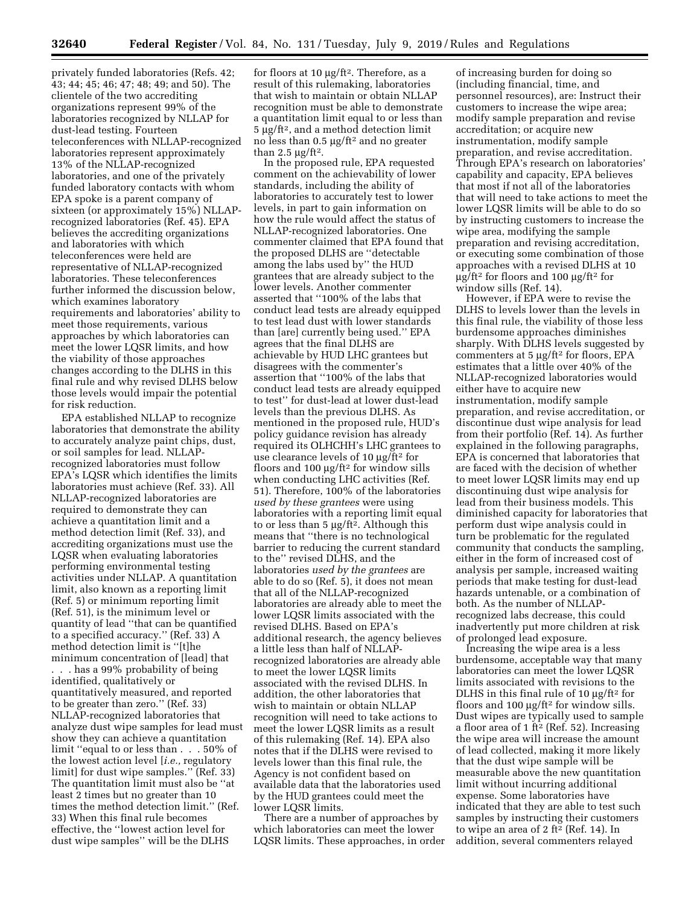privately funded laboratories (Refs. 42; 43; 44; 45; 46; 47; 48; 49; and 50). The clientele of the two accrediting organizations represent 99% of the laboratories recognized by NLLAP for dust-lead testing. Fourteen teleconferences with NLLAP-recognized laboratories represent approximately 13% of the NLLAP-recognized laboratories, and one of the privately funded laboratory contacts with whom EPA spoke is a parent company of sixteen (or approximately 15%) NLLAPrecognized laboratories (Ref. 45). EPA believes the accrediting organizations and laboratories with which teleconferences were held are representative of NLLAP-recognized laboratories. These teleconferences further informed the discussion below, which examines laboratory requirements and laboratories' ability to meet those requirements, various approaches by which laboratories can meet the lower LQSR limits, and how the viability of those approaches changes according to the DLHS in this final rule and why revised DLHS below those levels would impair the potential for risk reduction.

EPA established NLLAP to recognize laboratories that demonstrate the ability to accurately analyze paint chips, dust, or soil samples for lead. NLLAPrecognized laboratories must follow EPA's LQSR which identifies the limits laboratories must achieve (Ref. 33). All NLLAP-recognized laboratories are required to demonstrate they can achieve a quantitation limit and a method detection limit (Ref. 33), and accrediting organizations must use the LQSR when evaluating laboratories performing environmental testing activities under NLLAP. A quantitation limit, also known as a reporting limit (Ref. 5) or minimum reporting limit (Ref. 51), is the minimum level or quantity of lead ''that can be quantified to a specified accuracy.'' (Ref. 33) A method detection limit is ''[t]he minimum concentration of [lead] that

. . . has a 99% probability of being identified, qualitatively or quantitatively measured, and reported to be greater than zero.'' (Ref. 33) NLLAP-recognized laboratories that analyze dust wipe samples for lead must show they can achieve a quantitation limit ''equal to or less than . . . 50% of the lowest action level [*i.e.,* regulatory limit] for dust wipe samples.'' (Ref. 33) The quantitation limit must also be ''at least 2 times but no greater than 10 times the method detection limit.'' (Ref. 33) When this final rule becomes effective, the ''lowest action level for dust wipe samples'' will be the DLHS

for floors at 10  $\mu$ g/ft<sup>2</sup>. Therefore, as a result of this rulemaking, laboratories that wish to maintain or obtain NLLAP recognition must be able to demonstrate a quantitation limit equal to or less than  $5 \mu g / \text{ft}^2$ , and a method detection limit no less than 0.5  $\mu$ g/ft<sup>2</sup> and no greater than 2.5  $\mu$ g/ft<sup>2</sup>.

In the proposed rule, EPA requested comment on the achievability of lower standards, including the ability of laboratories to accurately test to lower levels, in part to gain information on how the rule would affect the status of NLLAP-recognized laboratories. One commenter claimed that EPA found that the proposed DLHS are ''detectable among the labs used by'' the HUD grantees that are already subject to the lower levels. Another commenter asserted that ''100% of the labs that conduct lead tests are already equipped to test lead dust with lower standards than [are] currently being used.'' EPA agrees that the final DLHS are achievable by HUD LHC grantees but disagrees with the commenter's assertion that ''100% of the labs that conduct lead tests are already equipped to test'' for dust-lead at lower dust-lead levels than the previous DLHS. As mentioned in the proposed rule, HUD's policy guidance revision has already required its OLHCHH's LHC grantees to use clearance levels of 10  $\mu$ g/ft<sup>2</sup> for floors and 100  $\mu$ g/ft<sup>2</sup> for window sills when conducting LHC activities (Ref. 51). Therefore, 100% of the laboratories *used by these grantees* were using laboratories with a reporting limit equal to or less than  $5 \mu g / \text{ft}^2$ . Although this means that ''there is no technological barrier to reducing the current standard to the'' revised DLHS, and the laboratories *used by the grantees* are able to do so (Ref. 5), it does not mean that all of the NLLAP-recognized laboratories are already able to meet the lower LQSR limits associated with the revised DLHS. Based on EPA's additional research, the agency believes a little less than half of NLLAPrecognized laboratories are already able to meet the lower LQSR limits associated with the revised DLHS. In addition, the other laboratories that wish to maintain or obtain NLLAP recognition will need to take actions to meet the lower LQSR limits as a result of this rulemaking (Ref. 14). EPA also notes that if the DLHS were revised to levels lower than this final rule, the Agency is not confident based on available data that the laboratories used by the HUD grantees could meet the lower LQSR limits.

There are a number of approaches by which laboratories can meet the lower LQSR limits. These approaches, in order

of increasing burden for doing so (including financial, time, and personnel resources), are: Instruct their customers to increase the wipe area; modify sample preparation and revise accreditation; or acquire new instrumentation, modify sample preparation, and revise accreditation. Through EPA's research on laboratories' capability and capacity, EPA believes that most if not all of the laboratories that will need to take actions to meet the lower LQSR limits will be able to do so by instructing customers to increase the wipe area, modifying the sample preparation and revising accreditation, or executing some combination of those approaches with a revised DLHS at 10  $\mu$ g/ft<sup>2</sup> for floors and 100  $\mu$ g/ft<sup>2</sup> for window sills (Ref. 14).

However, if EPA were to revise the DLHS to levels lower than the levels in this final rule, the viability of those less burdensome approaches diminishes sharply. With DLHS levels suggested by commenters at  $5 \mu g / \text{ft}^2$  for floors, EPA estimates that a little over 40% of the NLLAP-recognized laboratories would either have to acquire new instrumentation, modify sample preparation, and revise accreditation, or discontinue dust wipe analysis for lead from their portfolio (Ref. 14). As further explained in the following paragraphs, EPA is concerned that laboratories that are faced with the decision of whether to meet lower LQSR limits may end up discontinuing dust wipe analysis for lead from their business models. This diminished capacity for laboratories that perform dust wipe analysis could in turn be problematic for the regulated community that conducts the sampling, either in the form of increased cost of analysis per sample, increased waiting periods that make testing for dust-lead hazards untenable, or a combination of both. As the number of NLLAPrecognized labs decrease, this could inadvertently put more children at risk of prolonged lead exposure.

Increasing the wipe area is a less burdensome, acceptable way that many laboratories can meet the lower LQSR limits associated with revisions to the DLHS in this final rule of 10  $\mu$ g/ft<sup>2</sup> for floors and 100  $\mu$ g/ft<sup>2</sup> for window sills. Dust wipes are typically used to sample a floor area of 1 ft<sup>2</sup> (Ref. 52). Increasing the wipe area will increase the amount of lead collected, making it more likely that the dust wipe sample will be measurable above the new quantitation limit without incurring additional expense. Some laboratories have indicated that they are able to test such samples by instructing their customers to wipe an area of 2 ft2 (Ref. 14). In addition, several commenters relayed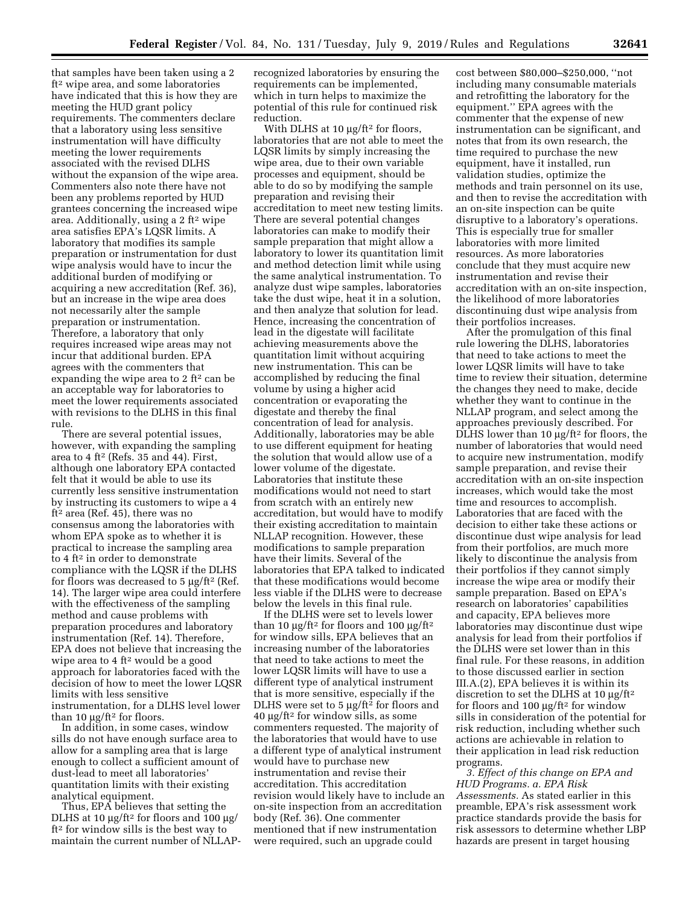that samples have been taken using a 2 ft2 wipe area, and some laboratories have indicated that this is how they are meeting the HUD grant policy requirements. The commenters declare that a laboratory using less sensitive instrumentation will have difficulty meeting the lower requirements associated with the revised DLHS without the expansion of the wipe area. Commenters also note there have not been any problems reported by HUD grantees concerning the increased wipe area. Additionally, using a 2 ft2 wipe area satisfies EPA's LQSR limits. A laboratory that modifies its sample preparation or instrumentation for dust wipe analysis would have to incur the additional burden of modifying or acquiring a new accreditation (Ref. 36), but an increase in the wipe area does not necessarily alter the sample preparation or instrumentation. Therefore, a laboratory that only requires increased wipe areas may not incur that additional burden. EPA agrees with the commenters that expanding the wipe area to 2 ft<sup>2</sup> can be an acceptable way for laboratories to meet the lower requirements associated with revisions to the DLHS in this final rule.

There are several potential issues, however, with expanding the sampling area to 4 ft2 (Refs. 35 and 44). First, although one laboratory EPA contacted felt that it would be able to use its currently less sensitive instrumentation by instructing its customers to wipe a 4 ft2 area (Ref. 45), there was no consensus among the laboratories with whom EPA spoke as to whether it is practical to increase the sampling area to 4 ft2 in order to demonstrate compliance with the LQSR if the DLHS for floors was decreased to  $5 \mu g / \text{ft}^2$  (Ref. 14). The larger wipe area could interfere with the effectiveness of the sampling method and cause problems with preparation procedures and laboratory instrumentation (Ref. 14). Therefore, EPA does not believe that increasing the wipe area to  $4 \text{ ft}^2$  would be a good approach for laboratories faced with the decision of how to meet the lower LQSR limits with less sensitive instrumentation, for a DLHS level lower than 10  $\mu$ g/ft<sup>2</sup> for floors.

In addition, in some cases, window sills do not have enough surface area to allow for a sampling area that is large enough to collect a sufficient amount of dust-lead to meet all laboratories' quantitation limits with their existing analytical equipment.

Thus, EPA believes that setting the DLHS at 10  $\mu$ g/ft<sup>2</sup> for floors and 100  $\mu$ g/ ft2 for window sills is the best way to maintain the current number of NLLAP- recognized laboratories by ensuring the requirements can be implemented, which in turn helps to maximize the potential of this rule for continued risk reduction.

With DLHS at  $10 \mu g / \text{ft}^2$  for floors, laboratories that are not able to meet the LQSR limits by simply increasing the wipe area, due to their own variable processes and equipment, should be able to do so by modifying the sample preparation and revising their accreditation to meet new testing limits. There are several potential changes laboratories can make to modify their sample preparation that might allow a laboratory to lower its quantitation limit and method detection limit while using the same analytical instrumentation. To analyze dust wipe samples, laboratories take the dust wipe, heat it in a solution, and then analyze that solution for lead. Hence, increasing the concentration of lead in the digestate will facilitate achieving measurements above the quantitation limit without acquiring new instrumentation. This can be accomplished by reducing the final volume by using a higher acid concentration or evaporating the digestate and thereby the final concentration of lead for analysis. Additionally, laboratories may be able to use different equipment for heating the solution that would allow use of a lower volume of the digestate. Laboratories that institute these modifications would not need to start from scratch with an entirely new accreditation, but would have to modify their existing accreditation to maintain NLLAP recognition. However, these modifications to sample preparation have their limits. Several of the laboratories that EPA talked to indicated that these modifications would become less viable if the DLHS were to decrease below the levels in this final rule.

If the DLHS were set to levels lower than 10  $\mu$ g/ft<sup>2</sup> for floors and 100  $\mu$ g/ft<sup>2</sup> for window sills, EPA believes that an increasing number of the laboratories that need to take actions to meet the lower LQSR limits will have to use a different type of analytical instrument that is more sensitive, especially if the DLHS were set to 5  $\mu$ g/ft<sup>2</sup> for floors and  $40 \mu g$ /ft<sup>2</sup> for window sills, as some commenters requested. The majority of the laboratories that would have to use a different type of analytical instrument would have to purchase new instrumentation and revise their accreditation. This accreditation revision would likely have to include an on-site inspection from an accreditation body (Ref. 36). One commenter mentioned that if new instrumentation were required, such an upgrade could

cost between \$80,000–\$250,000, ''not including many consumable materials and retrofitting the laboratory for the equipment.'' EPA agrees with the commenter that the expense of new instrumentation can be significant, and notes that from its own research, the time required to purchase the new equipment, have it installed, run validation studies, optimize the methods and train personnel on its use, and then to revise the accreditation with an on-site inspection can be quite disruptive to a laboratory's operations. This is especially true for smaller laboratories with more limited resources. As more laboratories conclude that they must acquire new instrumentation and revise their accreditation with an on-site inspection, the likelihood of more laboratories discontinuing dust wipe analysis from their portfolios increases.

After the promulgation of this final rule lowering the DLHS, laboratories that need to take actions to meet the lower LQSR limits will have to take time to review their situation, determine the changes they need to make, decide whether they want to continue in the NLLAP program, and select among the approaches previously described. For DLHS lower than 10  $\mu$ g/ft<sup>2</sup> for floors, the number of laboratories that would need to acquire new instrumentation, modify sample preparation, and revise their accreditation with an on-site inspection increases, which would take the most time and resources to accomplish. Laboratories that are faced with the decision to either take these actions or discontinue dust wipe analysis for lead from their portfolios, are much more likely to discontinue the analysis from their portfolios if they cannot simply increase the wipe area or modify their sample preparation. Based on EPA's research on laboratories' capabilities and capacity, EPA believes more laboratories may discontinue dust wipe analysis for lead from their portfolios if the DLHS were set lower than in this final rule. For these reasons, in addition to those discussed earlier in section III.A.(2), EPA believes it is within its discretion to set the DLHS at 10  $\mu$ g/ft<sup>2</sup> for floors and 100  $\mu$ g/ft<sup>2</sup> for window sills in consideration of the potential for risk reduction, including whether such actions are achievable in relation to their application in lead risk reduction programs.

*3. Effect of this change on EPA and HUD Programs. a. EPA Risk Assessments.* As stated earlier in this preamble, EPA's risk assessment work practice standards provide the basis for risk assessors to determine whether LBP hazards are present in target housing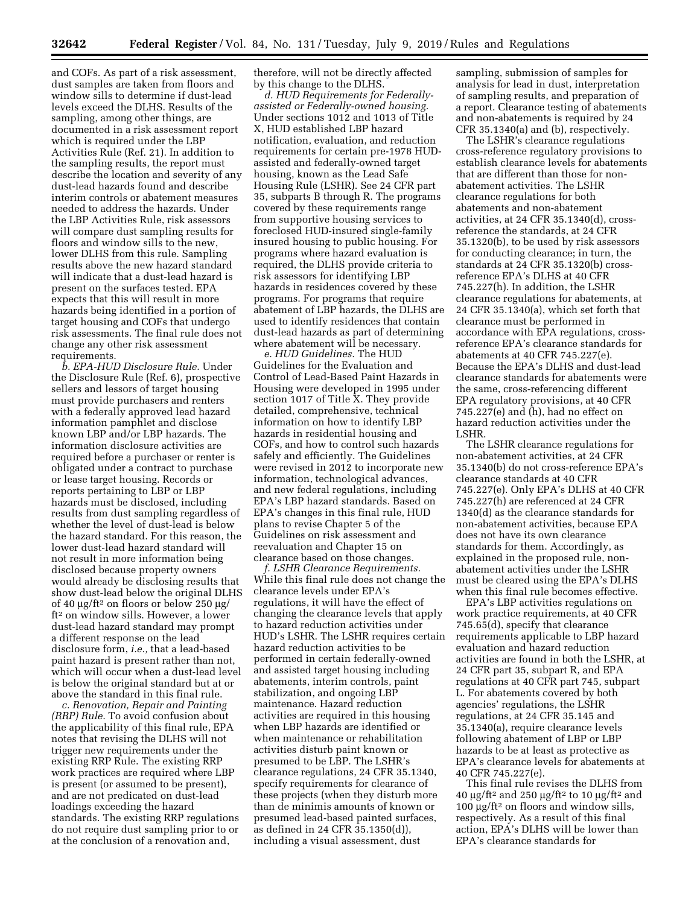and COFs. As part of a risk assessment, dust samples are taken from floors and window sills to determine if dust-lead levels exceed the DLHS. Results of the sampling, among other things, are documented in a risk assessment report which is required under the LBP Activities Rule (Ref. 21). In addition to the sampling results, the report must describe the location and severity of any dust-lead hazards found and describe interim controls or abatement measures needed to address the hazards. Under the LBP Activities Rule, risk assessors will compare dust sampling results for floors and window sills to the new, lower DLHS from this rule. Sampling results above the new hazard standard will indicate that a dust-lead hazard is present on the surfaces tested. EPA expects that this will result in more hazards being identified in a portion of target housing and COFs that undergo risk assessments. The final rule does not change any other risk assessment requirements.

*b. EPA-HUD Disclosure Rule.* Under the Disclosure Rule (Ref. 6), prospective sellers and lessors of target housing must provide purchasers and renters with a federally approved lead hazard information pamphlet and disclose known LBP and/or LBP hazards. The information disclosure activities are required before a purchaser or renter is obligated under a contract to purchase or lease target housing. Records or reports pertaining to LBP or LBP hazards must be disclosed, including results from dust sampling regardless of whether the level of dust-lead is below the hazard standard. For this reason, the lower dust-lead hazard standard will not result in more information being disclosed because property owners would already be disclosing results that show dust-lead below the original DLHS of 40  $\mu$ g/ft<sup>2</sup> on floors or below 250  $\mu$ g/ ft2 on window sills. However, a lower dust-lead hazard standard may prompt a different response on the lead disclosure form, *i.e.,* that a lead-based paint hazard is present rather than not, which will occur when a dust-lead level is below the original standard but at or above the standard in this final rule.

*c. Renovation, Repair and Painting (RRP) Rule.* To avoid confusion about the applicability of this final rule, EPA notes that revising the DLHS will not trigger new requirements under the existing RRP Rule. The existing RRP work practices are required where LBP is present (or assumed to be present), and are not predicated on dust-lead loadings exceeding the hazard standards. The existing RRP regulations do not require dust sampling prior to or at the conclusion of a renovation and,

therefore, will not be directly affected by this change to the DLHS.

*d. HUD Requirements for Federallyassisted or Federally-owned housing.*  Under sections 1012 and 1013 of Title X, HUD established LBP hazard notification, evaluation, and reduction requirements for certain pre-1978 HUDassisted and federally-owned target housing, known as the Lead Safe Housing Rule (LSHR). See 24 CFR part 35, subparts B through R. The programs covered by these requirements range from supportive housing services to foreclosed HUD-insured single-family insured housing to public housing. For programs where hazard evaluation is required, the DLHS provide criteria to risk assessors for identifying LBP hazards in residences covered by these programs. For programs that require abatement of LBP hazards, the DLHS are used to identify residences that contain dust-lead hazards as part of determining where abatement will be necessary.

*e. HUD Guidelines.* The HUD Guidelines for the Evaluation and Control of Lead-Based Paint Hazards in Housing were developed in 1995 under section 1017 of Title X. They provide detailed, comprehensive, technical information on how to identify LBP hazards in residential housing and COFs, and how to control such hazards safely and efficiently. The Guidelines were revised in 2012 to incorporate new information, technological advances, and new federal regulations, including EPA's LBP hazard standards. Based on EPA's changes in this final rule, HUD plans to revise Chapter 5 of the Guidelines on risk assessment and reevaluation and Chapter 15 on clearance based on those changes.

*f. LSHR Clearance Requirements.*  While this final rule does not change the clearance levels under EPA's regulations, it will have the effect of changing the clearance levels that apply to hazard reduction activities under HUD's LSHR. The LSHR requires certain hazard reduction activities to be performed in certain federally-owned and assisted target housing including abatements, interim controls, paint stabilization, and ongoing LBP maintenance. Hazard reduction activities are required in this housing when LBP hazards are identified or when maintenance or rehabilitation activities disturb paint known or presumed to be LBP. The LSHR's clearance regulations, 24 CFR 35.1340, specify requirements for clearance of these projects (when they disturb more than de minimis amounts of known or presumed lead-based painted surfaces, as defined in 24 CFR 35.1350(d)), including a visual assessment, dust

sampling, submission of samples for analysis for lead in dust, interpretation of sampling results, and preparation of a report. Clearance testing of abatements and non-abatements is required by 24 CFR 35.1340(a) and (b), respectively.

The LSHR's clearance regulations cross-reference regulatory provisions to establish clearance levels for abatements that are different than those for nonabatement activities. The LSHR clearance regulations for both abatements and non-abatement activities, at 24 CFR 35.1340(d), crossreference the standards, at 24 CFR 35.1320(b), to be used by risk assessors for conducting clearance; in turn, the standards at 24 CFR 35.1320(b) crossreference EPA's DLHS at 40 CFR 745.227(h). In addition, the LSHR clearance regulations for abatements, at 24 CFR 35.1340(a), which set forth that clearance must be performed in accordance with EPA regulations, crossreference EPA's clearance standards for abatements at 40 CFR 745.227(e). Because the EPA's DLHS and dust-lead clearance standards for abatements were the same, cross-referencing different EPA regulatory provisions, at 40 CFR 745.227(e) and (h), had no effect on hazard reduction activities under the LSHR.

The LSHR clearance regulations for non-abatement activities, at 24 CFR 35.1340(b) do not cross-reference EPA's clearance standards at 40 CFR 745.227(e). Only EPA's DLHS at 40 CFR 745.227(h) are referenced at 24 CFR 1340(d) as the clearance standards for non-abatement activities, because EPA does not have its own clearance standards for them. Accordingly, as explained in the proposed rule, nonabatement activities under the LSHR must be cleared using the EPA's DLHS when this final rule becomes effective.

EPA's LBP activities regulations on work practice requirements, at 40 CFR 745.65(d), specify that clearance requirements applicable to LBP hazard evaluation and hazard reduction activities are found in both the LSHR, at 24 CFR part 35, subpart R, and EPA regulations at 40 CFR part 745, subpart L. For abatements covered by both agencies' regulations, the LSHR regulations, at 24 CFR 35.145 and 35.1340(a), require clearance levels following abatement of LBP or LBP hazards to be at least as protective as EPA's clearance levels for abatements at 40 CFR 745.227(e).

This final rule revises the DLHS from 40  $\mu$ g/ft<sup>2</sup> and 250  $\mu$ g/ft<sup>2</sup> to 10  $\mu$ g/ft<sup>2</sup> and 100  $\mu$ g/ft<sup>2</sup> on floors and window sills, respectively. As a result of this final action, EPA's DLHS will be lower than EPA's clearance standards for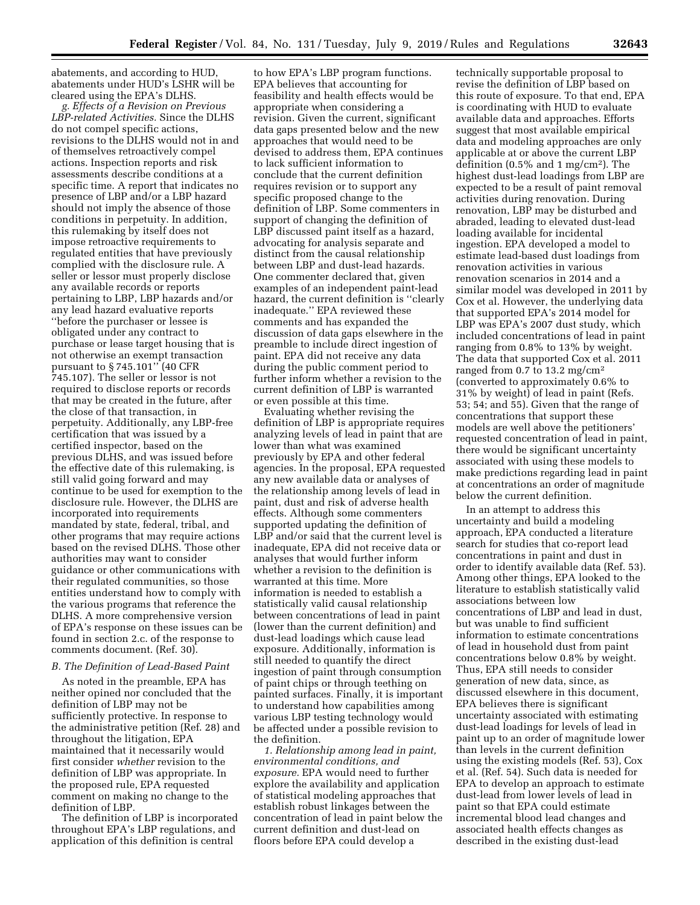abatements, and according to HUD, abatements under HUD's LSHR will be cleared using the EPA's DLHS.

*g. Effects of a Revision on Previous LBP-related Activities.* Since the DLHS do not compel specific actions, revisions to the DLHS would not in and of themselves retroactively compel actions. Inspection reports and risk assessments describe conditions at a specific time. A report that indicates no presence of LBP and/or a LBP hazard should not imply the absence of those conditions in perpetuity. In addition, this rulemaking by itself does not impose retroactive requirements to regulated entities that have previously complied with the disclosure rule. A seller or lessor must properly disclose any available records or reports pertaining to LBP, LBP hazards and/or any lead hazard evaluative reports ''before the purchaser or lessee is obligated under any contract to purchase or lease target housing that is not otherwise an exempt transaction pursuant to § 745.101'' (40 CFR 745.107). The seller or lessor is not required to disclose reports or records that may be created in the future, after the close of that transaction, in perpetuity. Additionally, any LBP-free certification that was issued by a certified inspector, based on the previous DLHS, and was issued before the effective date of this rulemaking, is still valid going forward and may continue to be used for exemption to the disclosure rule. However, the DLHS are incorporated into requirements mandated by state, federal, tribal, and other programs that may require actions based on the revised DLHS. Those other authorities may want to consider guidance or other communications with their regulated communities, so those entities understand how to comply with the various programs that reference the DLHS. A more comprehensive version of EPA's response on these issues can be found in section 2.c. of the response to comments document. (Ref. 30).

## *B. The Definition of Lead-Based Paint*

As noted in the preamble, EPA has neither opined nor concluded that the definition of LBP may not be sufficiently protective. In response to the administrative petition (Ref. 28) and throughout the litigation, EPA maintained that it necessarily would first consider *whether* revision to the definition of LBP was appropriate. In the proposed rule, EPA requested comment on making no change to the definition of LBP.

The definition of LBP is incorporated throughout EPA's LBP regulations, and application of this definition is central

to how EPA's LBP program functions. EPA believes that accounting for feasibility and health effects would be appropriate when considering a revision. Given the current, significant data gaps presented below and the new approaches that would need to be devised to address them, EPA continues to lack sufficient information to conclude that the current definition requires revision or to support any specific proposed change to the definition of LBP. Some commenters in support of changing the definition of LBP discussed paint itself as a hazard, advocating for analysis separate and distinct from the causal relationship between LBP and dust-lead hazards. One commenter declared that, given examples of an independent paint-lead hazard, the current definition is ''clearly inadequate.'' EPA reviewed these comments and has expanded the discussion of data gaps elsewhere in the preamble to include direct ingestion of paint. EPA did not receive any data during the public comment period to further inform whether a revision to the current definition of LBP is warranted or even possible at this time.

Evaluating whether revising the definition of LBP is appropriate requires analyzing levels of lead in paint that are lower than what was examined previously by EPA and other federal agencies. In the proposal, EPA requested any new available data or analyses of the relationship among levels of lead in paint, dust and risk of adverse health effects. Although some commenters supported updating the definition of LBP and/or said that the current level is inadequate, EPA did not receive data or analyses that would further inform whether a revision to the definition is warranted at this time. More information is needed to establish a statistically valid causal relationship between concentrations of lead in paint (lower than the current definition) and dust-lead loadings which cause lead exposure. Additionally, information is still needed to quantify the direct ingestion of paint through consumption of paint chips or through teething on painted surfaces. Finally, it is important to understand how capabilities among various LBP testing technology would be affected under a possible revision to the definition.

*1. Relationship among lead in paint, environmental conditions, and exposure.* EPA would need to further explore the availability and application of statistical modeling approaches that establish robust linkages between the concentration of lead in paint below the current definition and dust-lead on floors before EPA could develop a

technically supportable proposal to revise the definition of LBP based on this route of exposure. To that end, EPA is coordinating with HUD to evaluate available data and approaches. Efforts suggest that most available empirical data and modeling approaches are only applicable at or above the current LBP definition (0.5% and 1 mg/cm2). The highest dust-lead loadings from LBP are expected to be a result of paint removal activities during renovation. During renovation, LBP may be disturbed and abraded, leading to elevated dust-lead loading available for incidental ingestion. EPA developed a model to estimate lead-based dust loadings from renovation activities in various renovation scenarios in 2014 and a similar model was developed in 2011 by Cox et al. However, the underlying data that supported EPA's 2014 model for LBP was EPA's 2007 dust study, which included concentrations of lead in paint ranging from 0.8% to 13% by weight. The data that supported Cox et al. 2011 ranged from 0.7 to 13.2 mg/cm2 (converted to approximately 0.6% to 31% by weight) of lead in paint (Refs. 53; 54; and 55). Given that the range of concentrations that support these models are well above the petitioners' requested concentration of lead in paint, there would be significant uncertainty associated with using these models to make predictions regarding lead in paint at concentrations an order of magnitude below the current definition.

In an attempt to address this uncertainty and build a modeling approach, EPA conducted a literature search for studies that co-report lead concentrations in paint and dust in order to identify available data (Ref. 53). Among other things, EPA looked to the literature to establish statistically valid associations between low concentrations of LBP and lead in dust, but was unable to find sufficient information to estimate concentrations of lead in household dust from paint concentrations below 0.8% by weight. Thus, EPA still needs to consider generation of new data, since, as discussed elsewhere in this document, EPA believes there is significant uncertainty associated with estimating dust-lead loadings for levels of lead in paint up to an order of magnitude lower than levels in the current definition using the existing models (Ref. 53), Cox et al. (Ref. 54). Such data is needed for EPA to develop an approach to estimate dust-lead from lower levels of lead in paint so that EPA could estimate incremental blood lead changes and associated health effects changes as described in the existing dust-lead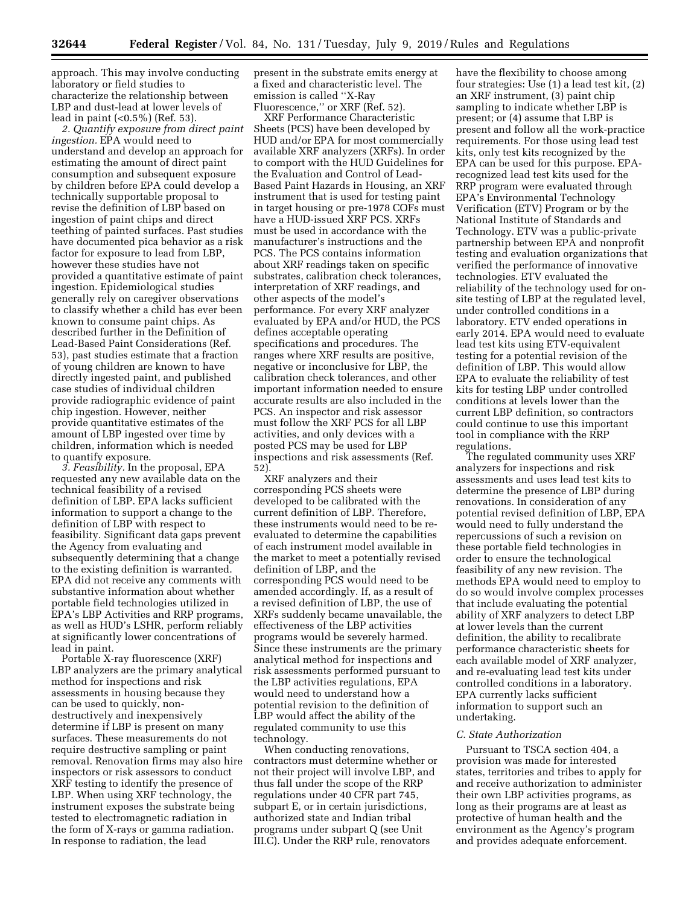approach. This may involve conducting laboratory or field studies to characterize the relationship between LBP and dust-lead at lower levels of lead in paint (<0.5%) (Ref. 53).

*2. Quantify exposure from direct paint ingestion.* EPA would need to understand and develop an approach for estimating the amount of direct paint consumption and subsequent exposure by children before EPA could develop a technically supportable proposal to revise the definition of LBP based on ingestion of paint chips and direct teething of painted surfaces. Past studies have documented pica behavior as a risk factor for exposure to lead from LBP, however these studies have not provided a quantitative estimate of paint ingestion. Epidemiological studies generally rely on caregiver observations to classify whether a child has ever been known to consume paint chips. As described further in the Definition of Lead-Based Paint Considerations (Ref. 53), past studies estimate that a fraction of young children are known to have directly ingested paint, and published case studies of individual children provide radiographic evidence of paint chip ingestion. However, neither provide quantitative estimates of the amount of LBP ingested over time by children, information which is needed to quantify exposure.

*3. Feasibility.* In the proposal, EPA requested any new available data on the technical feasibility of a revised definition of LBP. EPA lacks sufficient information to support a change to the definition of LBP with respect to feasibility. Significant data gaps prevent the Agency from evaluating and subsequently determining that a change to the existing definition is warranted. EPA did not receive any comments with substantive information about whether portable field technologies utilized in EPA's LBP Activities and RRP programs, as well as HUD's LSHR, perform reliably at significantly lower concentrations of lead in paint.

Portable X-ray fluorescence (XRF) LBP analyzers are the primary analytical method for inspections and risk assessments in housing because they can be used to quickly, nondestructively and inexpensively determine if LBP is present on many surfaces. These measurements do not require destructive sampling or paint removal. Renovation firms may also hire inspectors or risk assessors to conduct XRF testing to identify the presence of LBP. When using XRF technology, the instrument exposes the substrate being tested to electromagnetic radiation in the form of X-rays or gamma radiation. In response to radiation, the lead

present in the substrate emits energy at a fixed and characteristic level. The emission is called ''X-Ray Fluorescence," or XRF (Ref. 52).

XRF Performance Characteristic Sheets (PCS) have been developed by HUD and/or EPA for most commercially available XRF analyzers (XRFs). In order to comport with the HUD Guidelines for the Evaluation and Control of Lead-Based Paint Hazards in Housing, an XRF instrument that is used for testing paint in target housing or pre-1978 COFs must have a HUD-issued XRF PCS. XRFs must be used in accordance with the manufacturer's instructions and the PCS. The PCS contains information about XRF readings taken on specific substrates, calibration check tolerances, interpretation of XRF readings, and other aspects of the model's performance. For every XRF analyzer evaluated by EPA and/or HUD, the PCS defines acceptable operating specifications and procedures. The ranges where XRF results are positive, negative or inconclusive for LBP, the calibration check tolerances, and other important information needed to ensure accurate results are also included in the PCS. An inspector and risk assessor must follow the XRF PCS for all LBP activities, and only devices with a posted PCS may be used for LBP inspections and risk assessments (Ref. 52).

XRF analyzers and their corresponding PCS sheets were developed to be calibrated with the current definition of LBP. Therefore, these instruments would need to be reevaluated to determine the capabilities of each instrument model available in the market to meet a potentially revised definition of LBP, and the corresponding PCS would need to be amended accordingly. If, as a result of a revised definition of LBP, the use of XRFs suddenly became unavailable, the effectiveness of the LBP activities programs would be severely harmed. Since these instruments are the primary analytical method for inspections and risk assessments performed pursuant to the LBP activities regulations, EPA would need to understand how a potential revision to the definition of LBP would affect the ability of the regulated community to use this technology.

When conducting renovations, contractors must determine whether or not their project will involve LBP, and thus fall under the scope of the RRP regulations under 40 CFR part 745, subpart E, or in certain jurisdictions, authorized state and Indian tribal programs under subpart Q (see Unit III.C). Under the RRP rule, renovators

have the flexibility to choose among four strategies: Use (1) a lead test kit, (2) an XRF instrument, (3) paint chip sampling to indicate whether LBP is present; or (4) assume that LBP is present and follow all the work-practice requirements. For those using lead test kits, only test kits recognized by the EPA can be used for this purpose. EPArecognized lead test kits used for the RRP program were evaluated through EPA's Environmental Technology Verification (ETV) Program or by the National Institute of Standards and Technology. ETV was a public-private partnership between EPA and nonprofit testing and evaluation organizations that verified the performance of innovative technologies. ETV evaluated the reliability of the technology used for onsite testing of LBP at the regulated level, under controlled conditions in a laboratory. ETV ended operations in early 2014. EPA would need to evaluate lead test kits using ETV-equivalent testing for a potential revision of the definition of LBP. This would allow EPA to evaluate the reliability of test kits for testing LBP under controlled conditions at levels lower than the current LBP definition, so contractors could continue to use this important tool in compliance with the RRP regulations.

The regulated community uses XRF analyzers for inspections and risk assessments and uses lead test kits to determine the presence of LBP during renovations. In consideration of any potential revised definition of LBP, EPA would need to fully understand the repercussions of such a revision on these portable field technologies in order to ensure the technological feasibility of any new revision. The methods EPA would need to employ to do so would involve complex processes that include evaluating the potential ability of XRF analyzers to detect LBP at lower levels than the current definition, the ability to recalibrate performance characteristic sheets for each available model of XRF analyzer, and re-evaluating lead test kits under controlled conditions in a laboratory. EPA currently lacks sufficient information to support such an undertaking.

#### *C. State Authorization*

Pursuant to TSCA section 404, a provision was made for interested states, territories and tribes to apply for and receive authorization to administer their own LBP activities programs, as long as their programs are at least as protective of human health and the environment as the Agency's program and provides adequate enforcement.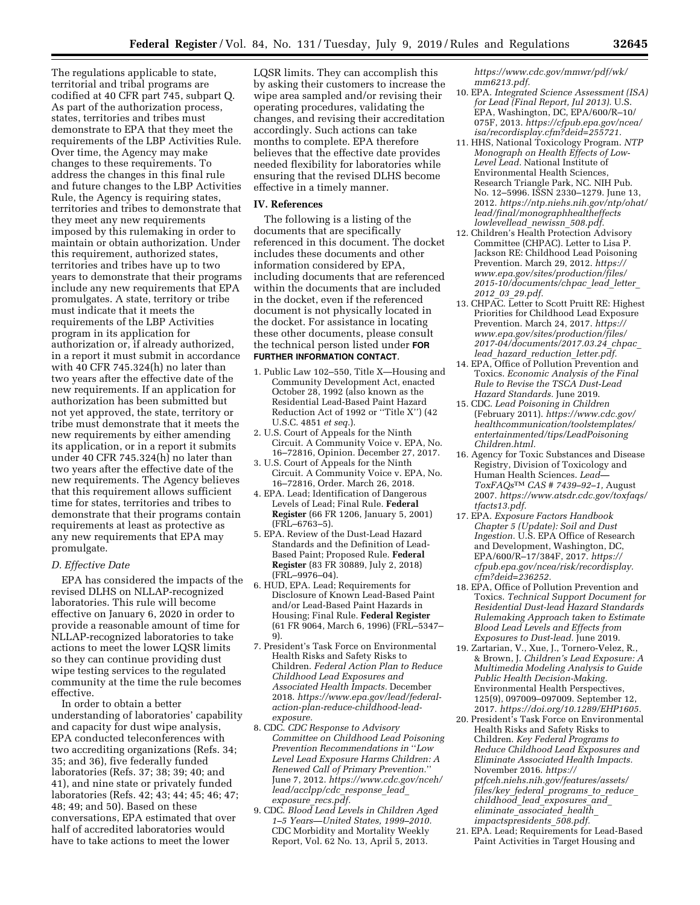The regulations applicable to state, territorial and tribal programs are codified at 40 CFR part 745, subpart Q. As part of the authorization process, states, territories and tribes must demonstrate to EPA that they meet the requirements of the LBP Activities Rule. Over time, the Agency may make changes to these requirements. To address the changes in this final rule and future changes to the LBP Activities Rule, the Agency is requiring states, territories and tribes to demonstrate that they meet any new requirements imposed by this rulemaking in order to maintain or obtain authorization. Under this requirement, authorized states, territories and tribes have up to two years to demonstrate that their programs include any new requirements that EPA promulgates. A state, territory or tribe must indicate that it meets the requirements of the LBP Activities program in its application for authorization or, if already authorized, in a report it must submit in accordance with 40 CFR 745.324(h) no later than two years after the effective date of the new requirements. If an application for authorization has been submitted but not yet approved, the state, territory or tribe must demonstrate that it meets the new requirements by either amending its application, or in a report it submits under 40 CFR 745.324(h) no later than two years after the effective date of the new requirements. The Agency believes that this requirement allows sufficient time for states, territories and tribes to demonstrate that their programs contain requirements at least as protective as any new requirements that EPA may promulgate.

## *D. Effective Date*

EPA has considered the impacts of the revised DLHS on NLLAP-recognized laboratories. This rule will become effective on January 6, 2020 in order to provide a reasonable amount of time for NLLAP-recognized laboratories to take actions to meet the lower LQSR limits so they can continue providing dust wipe testing services to the regulated community at the time the rule becomes effective.

In order to obtain a better understanding of laboratories' capability and capacity for dust wipe analysis, EPA conducted teleconferences with two accrediting organizations (Refs. 34; 35; and 36), five federally funded laboratories (Refs. 37; 38; 39; 40; and 41), and nine state or privately funded laboratories (Refs. 42; 43; 44; 45; 46; 47; 48; 49; and 50). Based on these conversations, EPA estimated that over half of accredited laboratories would have to take actions to meet the lower

LQSR limits. They can accomplish this by asking their customers to increase the wipe area sampled and/or revising their operating procedures, validating the changes, and revising their accreditation accordingly. Such actions can take months to complete. EPA therefore believes that the effective date provides needed flexibility for laboratories while ensuring that the revised DLHS become effective in a timely manner.

#### **IV. References**

The following is a listing of the documents that are specifically referenced in this document. The docket includes these documents and other information considered by EPA, including documents that are referenced within the documents that are included in the docket, even if the referenced document is not physically located in the docket. For assistance in locating these other documents, please consult the technical person listed under **FOR FURTHER INFORMATION CONTACT**.

- 1. Public Law 102–550, Title X—Housing and Community Development Act, enacted October 28, 1992 (also known as the Residential Lead-Based Paint Hazard Reduction Act of 1992 or ''Title X'') (42 U.S.C. 4851 *et seq.*).
- 2. U.S. Court of Appeals for the Ninth Circuit. A Community Voice v. EPA, No. 16–72816, Opinion. December 27, 2017.
- 3. U.S. Court of Appeals for the Ninth Circuit. A Community Voice v. EPA, No. 16–72816, Order. March 26, 2018.
- 4. EPA. Lead; Identification of Dangerous Levels of Lead; Final Rule. **Federal Register** (66 FR 1206, January 5, 2001) (FRL–6763–5).
- 5. EPA. Review of the Dust-Lead Hazard Standards and the Definition of Lead-Based Paint; Proposed Rule. **Federal Register** (83 FR 30889, July 2, 2018) (FRL–9976–04).
- 6. HUD, EPA. Lead; Requirements for Disclosure of Known Lead-Based Paint and/or Lead-Based Paint Hazards in Housing; Final Rule. **Federal Register**  (61 FR 9064, March 6, 1996) (FRL–5347– 9).
- 7. President's Task Force on Environmental Health Risks and Safety Risks to Children. *Federal Action Plan to Reduce Childhood Lead Exposures and Associated Health Impacts.* December 2018. *[https://www.epa.gov/lead/federal](https://www.epa.gov/lead/federal-action-plan-reduce-childhood-lead-exposure)[action-plan-reduce-childhood-lead](https://www.epa.gov/lead/federal-action-plan-reduce-childhood-lead-exposure)[exposure.](https://www.epa.gov/lead/federal-action-plan-reduce-childhood-lead-exposure)*
- 8. CDC. *CDC Response to Advisory Committee on Childhood Lead Poisoning Prevention Recommendations in* ''*Low Level Lead Exposure Harms Children: A Renewed Call of Primary Prevention.*'' June 7, 2012. *[https://www.cdc.gov/nceh/](https://www.cdc.gov/nceh/lead/acclpp/cdc_response_lead_exposure_recs.pdf) [lead/acclpp/cdc](https://www.cdc.gov/nceh/lead/acclpp/cdc_response_lead_exposure_recs.pdf)*\_*response*\_*lead*\_ *[exposure](https://www.cdc.gov/nceh/lead/acclpp/cdc_response_lead_exposure_recs.pdf)*\_*recs.pdf.*
- 9. CDC. *Blood Lead Levels in Children Aged 1–5 Years—United States, 1999–2010.*  CDC Morbidity and Mortality Weekly Report, Vol. 62 No. 13, April 5, 2013.

*[https://www.cdc.gov/mmwr/pdf/wk/](https://www.cdc.gov/mmwr/pdf/wk/mm6213.pdf) [mm6213.pdf.](https://www.cdc.gov/mmwr/pdf/wk/mm6213.pdf)* 

- 10. EPA. *Integrated Science Assessment (ISA) for Lead (Final Report, Jul 2013).* U.S. EPA, Washington, DC, EPA/600/R–10/ 075F, 2013. *[https://cfpub.epa.gov/ncea/](https://cfpub.epa.gov/ncea/isa/recordisplay.cfm?deid=255721)  [isa/recordisplay.cfm?deid=255721.](https://cfpub.epa.gov/ncea/isa/recordisplay.cfm?deid=255721)*
- 11. HHS, National Toxicology Program. *NTP Monograph on Health Effects of Low-Level Lead.* National Institute of Environmental Health Sciences, Research Triangle Park, NC. NIH Pub. No. 12–5996. ISSN 2330–1279. June 13, 2012. *[https://ntp.niehs.nih.gov/ntp/ohat/](https://ntp.niehs.nih.gov/ntp/ohat/lead/final/monographhealtheffectslowlevellead_newissn_508.pdf) [lead/final/monographhealtheffects](https://ntp.niehs.nih.gov/ntp/ohat/lead/final/monographhealtheffectslowlevellead_newissn_508.pdf) [lowlevellead](https://ntp.niehs.nih.gov/ntp/ohat/lead/final/monographhealtheffectslowlevellead_newissn_508.pdf)*\_*newissn*\_*508.pdf.*
- 12. Children's Health Protection Advisory Committee (CHPAC). Letter to Lisa P. Jackson RE: Childhood Lead Poisoning Prevention. March 29, 2012. *[https://](https://www.epa.gov/sites/production/files/2015-10/documents/chpac_lead_letter_2012_03_29.pdf) [www.epa.gov/sites/production/files/](https://www.epa.gov/sites/production/files/2015-10/documents/chpac_lead_letter_2012_03_29.pdf) [2015-10/documents/chpac](https://www.epa.gov/sites/production/files/2015-10/documents/chpac_lead_letter_2012_03_29.pdf)*\_*lead*\_*letter*\_ *2012*\_*03*\_*[29.pdf.](https://www.epa.gov/sites/production/files/2015-10/documents/chpac_lead_letter_2012_03_29.pdf)*
- 13. CHPAC. Letter to Scott Pruitt RE: Highest Priorities for Childhood Lead Exposure Prevention. March 24, 2017. *[https://](https://www.epa.gov/sites/production/files/2017-04/documents/2017.03.24_chpac_lead_hazard_reduction_letter.pdf) [www.epa.gov/sites/production/files/](https://www.epa.gov/sites/production/files/2017-04/documents/2017.03.24_chpac_lead_hazard_reduction_letter.pdf) [2017-04/documents/2017.03.24](https://www.epa.gov/sites/production/files/2017-04/documents/2017.03.24_chpac_lead_hazard_reduction_letter.pdf)*\_*chpac*\_ *lead*\_*hazard*\_*reduction*\_*[letter.pdf.](https://www.epa.gov/sites/production/files/2017-04/documents/2017.03.24_chpac_lead_hazard_reduction_letter.pdf)*
- 14. EPA, Office of Pollution Prevention and Toxics. *Economic Analysis of the Final Rule to Revise the TSCA Dust-Lead Hazard Standards.* June 2019.
- 15. CDC. *Lead Poisoning in Children*  (February 2011). *[https://www.cdc.gov/](https://www.cdc.gov/healthcommunication/toolstemplates/entertainmented/tips/LeadPoisoningChildren.html) [healthcommunication/toolstemplates/](https://www.cdc.gov/healthcommunication/toolstemplates/entertainmented/tips/LeadPoisoningChildren.html) [entertainmented/tips/LeadPoisoning](https://www.cdc.gov/healthcommunication/toolstemplates/entertainmented/tips/LeadPoisoningChildren.html) [Children.html.](https://www.cdc.gov/healthcommunication/toolstemplates/entertainmented/tips/LeadPoisoningChildren.html)*
- 16. Agency for Toxic Substances and Disease Registry, Division of Toxicology and Human Health Sciences. *Lead— ToxFAQs*TM *CAS # 7439–92–1,* August 2007. *[https://www.atsdr.cdc.gov/toxfaqs/](https://www.atsdr.cdc.gov/toxfaqs/tfacts13.pdf) [tfacts13.pdf.](https://www.atsdr.cdc.gov/toxfaqs/tfacts13.pdf)*
- 17. EPA. *Exposure Factors Handbook Chapter 5 (Update): Soil and Dust Ingestion.* U.S. EPA Office of Research and Development, Washington, DC, EPA/600/R–17/384F, 2017. *[https://](https://cfpub.epa.gov/ncea/risk/recordisplay.cfm?deid=236252) [cfpub.epa.gov/ncea/risk/recordisplay.](https://cfpub.epa.gov/ncea/risk/recordisplay.cfm?deid=236252) [cfm?deid=236252.](https://cfpub.epa.gov/ncea/risk/recordisplay.cfm?deid=236252)*
- 18. EPA, Office of Pollution Prevention and Toxics. *Technical Support Document for Residential Dust-lead Hazard Standards Rulemaking Approach taken to Estimate Blood Lead Levels and Effects from Exposures to Dust-lead.* June 2019.
- 19. Zartarian, V., Xue, J., Tornero-Velez, R., & Brown, J. *Children's Lead Exposure: A Multimedia Modeling Analysis to Guide Public Health Decision-Making.*  Environmental Health Perspectives, 125(9), 097009–097009. September 12, 2017. *[https://doi.org/10.1289/EHP1605.](https://doi.org/10.1289/EHP1605)*
- 20. President's Task Force on Environmental Health Risks and Safety Risks to Children. *Key Federal Programs to Reduce Childhood Lead Exposures and Eliminate Associated Health Impacts.*  November 2016. *[https://](https://ptfceh.niehs.nih.gov/features/assets/files/key_federal_programs_to_reduce_childhood_lead_exposures_and_eliminate_associated_health_impactspresidents_508.pdf) [ptfceh.niehs.nih.gov/features/assets/](https://ptfceh.niehs.nih.gov/features/assets/files/key_federal_programs_to_reduce_childhood_lead_exposures_and_eliminate_associated_health_impactspresidents_508.pdf)  files/key*\_*federal*\_*[programs](https://ptfceh.niehs.nih.gov/features/assets/files/key_federal_programs_to_reduce_childhood_lead_exposures_and_eliminate_associated_health_impactspresidents_508.pdf)*\_*to*\_*reduce*\_ *[childhood](https://ptfceh.niehs.nih.gov/features/assets/files/key_federal_programs_to_reduce_childhood_lead_exposures_and_eliminate_associated_health_impactspresidents_508.pdf)*\_*lead*\_*exposures*\_*and*\_ *eliminate*\_*[associated](https://ptfceh.niehs.nih.gov/features/assets/files/key_federal_programs_to_reduce_childhood_lead_exposures_and_eliminate_associated_health_impactspresidents_508.pdf)*\_*health*\_ *[impactspresidents](https://ptfceh.niehs.nih.gov/features/assets/files/key_federal_programs_to_reduce_childhood_lead_exposures_and_eliminate_associated_health_impactspresidents_508.pdf)*\_*508.pdf.*
- 21. EPA. Lead; Requirements for Lead-Based Paint Activities in Target Housing and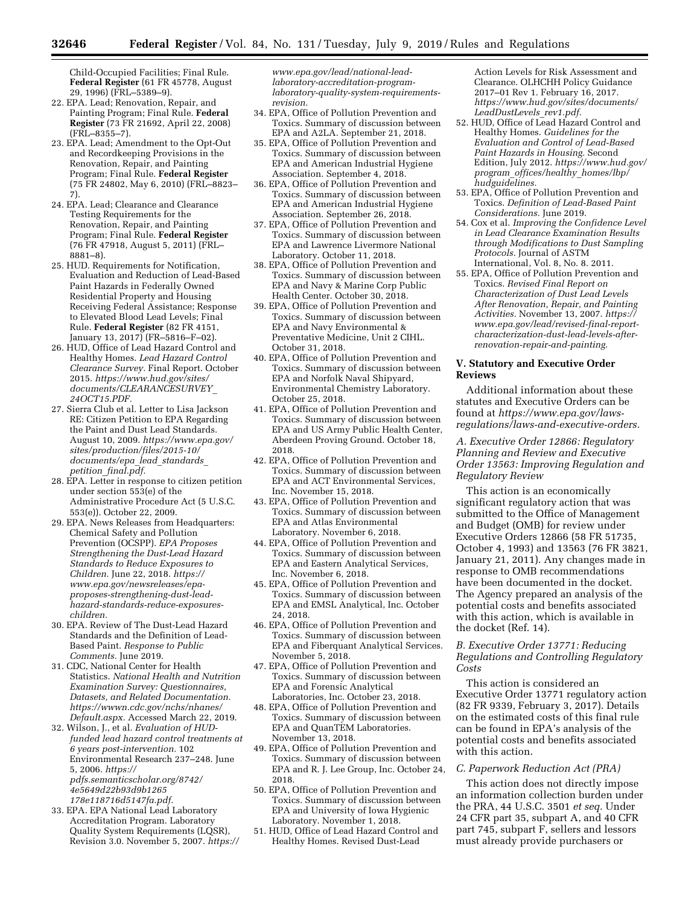Child-Occupied Facilities; Final Rule. **Federal Register** (61 FR 45778, August 29, 1996) (FRL–5389–9).

- 22. EPA. Lead; Renovation, Repair, and Painting Program; Final Rule. **Federal Register** (73 FR 21692, April 22, 2008) (FRL–8355–7).
- 23. EPA. Lead; Amendment to the Opt-Out and Recordkeeping Provisions in the Renovation, Repair, and Painting Program; Final Rule. **Federal Register**  (75 FR 24802, May 6, 2010) (FRL–8823– 7).
- 24. EPA. Lead; Clearance and Clearance Testing Requirements for the Renovation, Repair, and Painting Program; Final Rule. **Federal Register**  (76 FR 47918, August 5, 2011) (FRL– 8881–8).
- 25. HUD. Requirements for Notification, Evaluation and Reduction of Lead-Based Paint Hazards in Federally Owned Residential Property and Housing Receiving Federal Assistance; Response to Elevated Blood Lead Levels; Final Rule. **Federal Register** (82 FR 4151, January 13, 2017) (FR–5816–F–02).
- 26. HUD, Office of Lead Hazard Control and Healthy Homes. *Lead Hazard Control Clearance Survey.* Final Report. October 2015. *[https://www.hud.gov/sites/](https://www.hud.gov/sites/documents/CLEARANCESURVEY_24OCT15.PDF)  [documents/CLEARANCESURVEY](https://www.hud.gov/sites/documents/CLEARANCESURVEY_24OCT15.PDF)*\_ *[24OCT15.PDF.](https://www.hud.gov/sites/documents/CLEARANCESURVEY_24OCT15.PDF)*
- 27. Sierra Club et al. Letter to Lisa Jackson RE: Citizen Petition to EPA Regarding the Paint and Dust Lead Standards. August 10, 2009. *[https://www.epa.gov/](https://www.epa.gov/sites/production/files/2015-10/documents/epa_lead_standards_petition_final.pdf)  [sites/production/files/2015-10/](https://www.epa.gov/sites/production/files/2015-10/documents/epa_lead_standards_petition_final.pdf) [documents/epa](https://www.epa.gov/sites/production/files/2015-10/documents/epa_lead_standards_petition_final.pdf)*\_*lead*\_*standards*\_ *petition*\_*[final.pdf.](https://www.epa.gov/sites/production/files/2015-10/documents/epa_lead_standards_petition_final.pdf)*
- 28. EPA. Letter in response to citizen petition under section 553(e) of the Administrative Procedure Act (5 U.S.C. 553(e)). October 22, 2009.
- 29. EPA. News Releases from Headquarters: Chemical Safety and Pollution Prevention (OCSPP). *EPA Proposes Strengthening the Dust-Lead Hazard Standards to Reduce Exposures to Children.* June 22, 2018. *[https://](https://www.epa.gov/newsreleases/epa-proposes-strengthening-dust-lead-hazard-standards-reduce-exposures-children) [www.epa.gov/newsreleases/epa](https://www.epa.gov/newsreleases/epa-proposes-strengthening-dust-lead-hazard-standards-reduce-exposures-children)proposes-strengthening-dust-lead[hazard-standards-reduce-exposures](https://www.epa.gov/newsreleases/epa-proposes-strengthening-dust-lead-hazard-standards-reduce-exposures-children)[children.](https://www.epa.gov/newsreleases/epa-proposes-strengthening-dust-lead-hazard-standards-reduce-exposures-children)*
- 30. EPA. Review of The Dust-Lead Hazard Standards and the Definition of Lead-Based Paint. *Response to Public Comments.* June 2019.
- 31. CDC, National Center for Health Statistics. *National Health and Nutrition Examination Survey: Questionnaires, Datasets, and Related Documentation. [https://wwwn.cdc.gov/nchs/nhanes/](https://wwwn.cdc.gov/nchs/nhanes/Default.aspx) [Default.aspx.](https://wwwn.cdc.gov/nchs/nhanes/Default.aspx)* Accessed March 22, 2019.
- 32. Wilson, J., et al. *Evaluation of HUDfunded lead hazard control treatments at 6 years post-intervention.* 102 Environmental Research 237–248. June 5, 2006. *[https://](https://pdfs.semanticscholar.org/8742/4e5649d22b93d9b1265178e118716d5147fa.pdf) [pdfs.semanticscholar.org/8742/](https://pdfs.semanticscholar.org/8742/4e5649d22b93d9b1265178e118716d5147fa.pdf) [4e5649d22b93d9b1265](https://pdfs.semanticscholar.org/8742/4e5649d22b93d9b1265178e118716d5147fa.pdf) [178e118716d5147fa.pdf.](https://pdfs.semanticscholar.org/8742/4e5649d22b93d9b1265178e118716d5147fa.pdf)*
- 33. EPA. EPA National Lead Laboratory Accreditation Program. Laboratory Quality System Requirements (LQSR), Revision 3.0. November 5, 2007. *[https://](https://www.epa.gov/lead/national-lead-laboratory-accreditation-program-laboratory-quality-system-requirements-revision)*

*www.epa.gov/lead/national-lead[laboratory-accreditation-program](https://www.epa.gov/lead/national-lead-laboratory-accreditation-program-laboratory-quality-system-requirements-revision)[laboratory-quality-system-requirements](https://www.epa.gov/lead/national-lead-laboratory-accreditation-program-laboratory-quality-system-requirements-revision)[revision.](https://www.epa.gov/lead/national-lead-laboratory-accreditation-program-laboratory-quality-system-requirements-revision)* 

- 34. EPA, Office of Pollution Prevention and Toxics. Summary of discussion between EPA and A2LA. September 21, 2018.
- 35. EPA, Office of Pollution Prevention and Toxics. Summary of discussion between EPA and American Industrial Hygiene Association. September 4, 2018.
- 36. EPA, Office of Pollution Prevention and Toxics. Summary of discussion between EPA and American Industrial Hygiene Association. September 26, 2018.
- 37. EPA, Office of Pollution Prevention and Toxics. Summary of discussion between EPA and Lawrence Livermore National Laboratory. October 11, 2018.
- 38. EPA, Office of Pollution Prevention and Toxics. Summary of discussion between EPA and Navy & Marine Corp Public Health Center. October 30, 2018.
- 39. EPA, Office of Pollution Prevention and Toxics. Summary of discussion between EPA and Navy Environmental & Preventative Medicine, Unit 2 CIHL. October 31, 2018.
- 40. EPA, Office of Pollution Prevention and Toxics. Summary of discussion between EPA and Norfolk Naval Shipyard, Environmental Chemistry Laboratory. October 25, 2018.
- 41. EPA, Office of Pollution Prevention and Toxics. Summary of discussion between EPA and US Army Public Health Center, Aberdeen Proving Ground. October 18, 2018.
- 42. EPA, Office of Pollution Prevention and Toxics. Summary of discussion between EPA and ACT Environmental Services, Inc. November 15, 2018.
- 43. EPA, Office of Pollution Prevention and Toxics. Summary of discussion between EPA and Atlas Environmental Laboratory. November 6, 2018.
- 44. EPA, Office of Pollution Prevention and Toxics. Summary of discussion between EPA and Eastern Analytical Services, Inc. November 6, 2018.
- 45. EPA, Office of Pollution Prevention and Toxics. Summary of discussion between EPA and EMSL Analytical, Inc. October 24, 2018.
- 46. EPA, Office of Pollution Prevention and Toxics. Summary of discussion between EPA and Fiberquant Analytical Services. November 5, 2018.
- 47. EPA, Office of Pollution Prevention and Toxics. Summary of discussion between EPA and Forensic Analytical Laboratories, Inc. October 23, 2018.
- 48. EPA, Office of Pollution Prevention and Toxics. Summary of discussion between EPA and QuanTEM Laboratories. November 13, 2018.
- 49. EPA, Office of Pollution Prevention and Toxics. Summary of discussion between EPA and R. J. Lee Group, Inc. October 24, 2018.
- 50. EPA, Office of Pollution Prevention and Toxics. Summary of discussion between EPA and University of Iowa Hygienic Laboratory. November 1, 2018.
- 51. HUD, Office of Lead Hazard Control and Healthy Homes. Revised Dust-Lead

Action Levels for Risk Assessment and Clearance. OLHCHH Policy Guidance 2017–01 Rev 1. February 16, 2017. *[https://www.hud.gov/sites/documents/](https://www.hud.gov/sites/documents/LeadDustLevels_rev1.pdf) [LeadDustLevels](https://www.hud.gov/sites/documents/LeadDustLevels_rev1.pdf)*\_*rev1.pdf.* 

- 52. HUD, Office of Lead Hazard Control and Healthy Homes. *Guidelines for the Evaluation and Control of Lead-Based Paint Hazards in Housing.* Second Edition, July 2012. *[https://www.hud.gov/](https://www.hud.gov/program_offices/healthy_homes/lbp/hudguidelines)  program*\_*[offices/healthy](https://www.hud.gov/program_offices/healthy_homes/lbp/hudguidelines)*\_*homes/lbp/ [hudguidelines.](https://www.hud.gov/program_offices/healthy_homes/lbp/hudguidelines)*
- 53. EPA, Office of Pollution Prevention and Toxics. *Definition of Lead-Based Paint Considerations.* June 2019.
- 54. Cox et al. *Improving the Confidence Level in Lead Clearance Examination Results through Modifications to Dust Sampling Protocols.* Journal of ASTM International, Vol. 8, No. 8. 2011.
- 55. EPA, Office of Pollution Prevention and Toxics. *Revised Final Report on Characterization of Dust Lead Levels After Renovation, Repair, and Painting Activities.* November 13, 2007. *[https://](https://www.epa.gov/lead/revised-final-report-characterization-dust-lead-levels-after-renovation-repair-and-painting) [www.epa.gov/lead/revised-final-report](https://www.epa.gov/lead/revised-final-report-characterization-dust-lead-levels-after-renovation-repair-and-painting)[characterization-dust-lead-levels-after](https://www.epa.gov/lead/revised-final-report-characterization-dust-lead-levels-after-renovation-repair-and-painting)[renovation-repair-and-painting.](https://www.epa.gov/lead/revised-final-report-characterization-dust-lead-levels-after-renovation-repair-and-painting)*

## **V. Statutory and Executive Order Reviews**

Additional information about these statutes and Executive Orders can be found at *[https://www.epa.gov/laws](https://www.epa.gov/laws-regulations/laws-and-executive-orders)[regulations/laws-and-executive-orders.](https://www.epa.gov/laws-regulations/laws-and-executive-orders)* 

*A. Executive Order 12866: Regulatory Planning and Review and Executive Order 13563: Improving Regulation and Regulatory Review* 

This action is an economically significant regulatory action that was submitted to the Office of Management and Budget (OMB) for review under Executive Orders 12866 (58 FR 51735, October 4, 1993) and 13563 (76 FR 3821, January 21, 2011). Any changes made in response to OMB recommendations have been documented in the docket. The Agency prepared an analysis of the potential costs and benefits associated with this action, which is available in the docket (Ref. 14).

# *B. Executive Order 13771: Reducing Regulations and Controlling Regulatory Costs*

This action is considered an Executive Order 13771 regulatory action (82 FR 9339, February 3, 2017). Details on the estimated costs of this final rule can be found in EPA's analysis of the potential costs and benefits associated with this action.

# *C. Paperwork Reduction Act (PRA)*

This action does not directly impose an information collection burden under the PRA, 44 U.S.C. 3501 *et seq.* Under 24 CFR part 35, subpart A, and 40 CFR part 745, subpart F, sellers and lessors must already provide purchasers or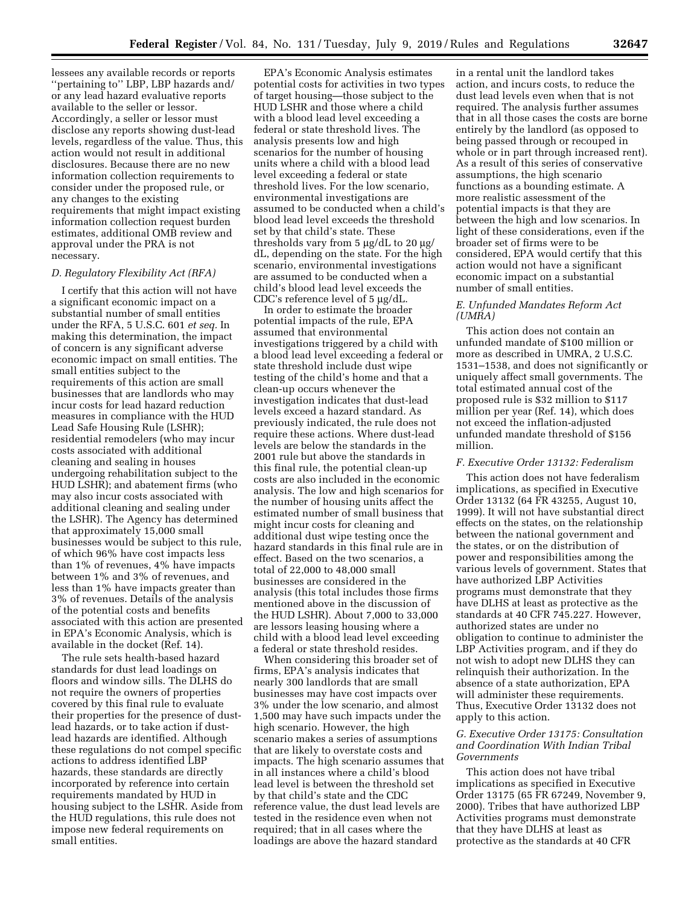lessees any available records or reports ''pertaining to'' LBP, LBP hazards and/ or any lead hazard evaluative reports available to the seller or lessor. Accordingly, a seller or lessor must disclose any reports showing dust-lead levels, regardless of the value. Thus, this action would not result in additional disclosures. Because there are no new information collection requirements to consider under the proposed rule, or any changes to the existing requirements that might impact existing information collection request burden estimates, additional OMB review and approval under the PRA is not necessary.

#### *D. Regulatory Flexibility Act (RFA)*

I certify that this action will not have a significant economic impact on a substantial number of small entities under the RFA, 5 U.S.C. 601 *et seq.* In making this determination, the impact of concern is any significant adverse economic impact on small entities. The small entities subject to the requirements of this action are small businesses that are landlords who may incur costs for lead hazard reduction measures in compliance with the HUD Lead Safe Housing Rule (LSHR); residential remodelers (who may incur costs associated with additional cleaning and sealing in houses undergoing rehabilitation subject to the HUD LSHR); and abatement firms (who may also incur costs associated with additional cleaning and sealing under the LSHR). The Agency has determined that approximately 15,000 small businesses would be subject to this rule, of which 96% have cost impacts less than 1% of revenues, 4% have impacts between 1% and 3% of revenues, and less than 1% have impacts greater than 3% of revenues. Details of the analysis of the potential costs and benefits associated with this action are presented in EPA's Economic Analysis, which is available in the docket (Ref. 14).

The rule sets health-based hazard standards for dust lead loadings on floors and window sills. The DLHS do not require the owners of properties covered by this final rule to evaluate their properties for the presence of dustlead hazards, or to take action if dustlead hazards are identified. Although these regulations do not compel specific actions to address identified LBP hazards, these standards are directly incorporated by reference into certain requirements mandated by HUD in housing subject to the LSHR. Aside from the HUD regulations, this rule does not impose new federal requirements on small entities.

EPA's Economic Analysis estimates potential costs for activities in two types of target housing—those subject to the HUD LSHR and those where a child with a blood lead level exceeding a federal or state threshold lives. The analysis presents low and high scenarios for the number of housing units where a child with a blood lead level exceeding a federal or state threshold lives. For the low scenario, environmental investigations are assumed to be conducted when a child's blood lead level exceeds the threshold set by that child's state. These thresholds vary from  $5 \mu g/dL$  to  $20 \mu g/d$ dL, depending on the state. For the high scenario, environmental investigations are assumed to be conducted when a child's blood lead level exceeds the CDC's reference level of  $5 \mu g/dL$ .

In order to estimate the broader potential impacts of the rule, EPA assumed that environmental investigations triggered by a child with a blood lead level exceeding a federal or state threshold include dust wipe testing of the child's home and that a clean-up occurs whenever the investigation indicates that dust-lead levels exceed a hazard standard. As previously indicated, the rule does not require these actions. Where dust-lead levels are below the standards in the 2001 rule but above the standards in this final rule, the potential clean-up costs are also included in the economic analysis. The low and high scenarios for the number of housing units affect the estimated number of small business that might incur costs for cleaning and additional dust wipe testing once the hazard standards in this final rule are in effect. Based on the two scenarios, a total of 22,000 to 48,000 small businesses are considered in the analysis (this total includes those firms mentioned above in the discussion of the HUD LSHR). About 7,000 to 33,000 are lessors leasing housing where a child with a blood lead level exceeding a federal or state threshold resides.

When considering this broader set of firms, EPA's analysis indicates that nearly 300 landlords that are small businesses may have cost impacts over 3% under the low scenario, and almost 1,500 may have such impacts under the high scenario. However, the high scenario makes a series of assumptions that are likely to overstate costs and impacts. The high scenario assumes that in all instances where a child's blood lead level is between the threshold set by that child's state and the CDC reference value, the dust lead levels are tested in the residence even when not required; that in all cases where the loadings are above the hazard standard

in a rental unit the landlord takes action, and incurs costs, to reduce the dust lead levels even when that is not required. The analysis further assumes that in all those cases the costs are borne entirely by the landlord (as opposed to being passed through or recouped in whole or in part through increased rent). As a result of this series of conservative assumptions, the high scenario functions as a bounding estimate. A more realistic assessment of the potential impacts is that they are between the high and low scenarios. In light of these considerations, even if the broader set of firms were to be considered, EPA would certify that this action would not have a significant economic impact on a substantial number of small entities.

#### *E. Unfunded Mandates Reform Act (UMRA)*

This action does not contain an unfunded mandate of \$100 million or more as described in UMRA, 2 U.S.C. 1531–1538, and does not significantly or uniquely affect small governments. The total estimated annual cost of the proposed rule is \$32 million to \$117 million per year (Ref. 14), which does not exceed the inflation-adjusted unfunded mandate threshold of \$156 million.

# *F. Executive Order 13132: Federalism*

This action does not have federalism implications, as specified in Executive Order 13132 (64 FR 43255, August 10, 1999). It will not have substantial direct effects on the states, on the relationship between the national government and the states, or on the distribution of power and responsibilities among the various levels of government. States that have authorized LBP Activities programs must demonstrate that they have DLHS at least as protective as the standards at 40 CFR 745.227. However, authorized states are under no obligation to continue to administer the LBP Activities program, and if they do not wish to adopt new DLHS they can relinquish their authorization. In the absence of a state authorization, EPA will administer these requirements. Thus, Executive Order 13132 does not apply to this action.

# *G. Executive Order 13175: Consultation and Coordination With Indian Tribal Governments*

This action does not have tribal implications as specified in Executive Order 13175 (65 FR 67249, November 9, 2000). Tribes that have authorized LBP Activities programs must demonstrate that they have DLHS at least as protective as the standards at 40 CFR